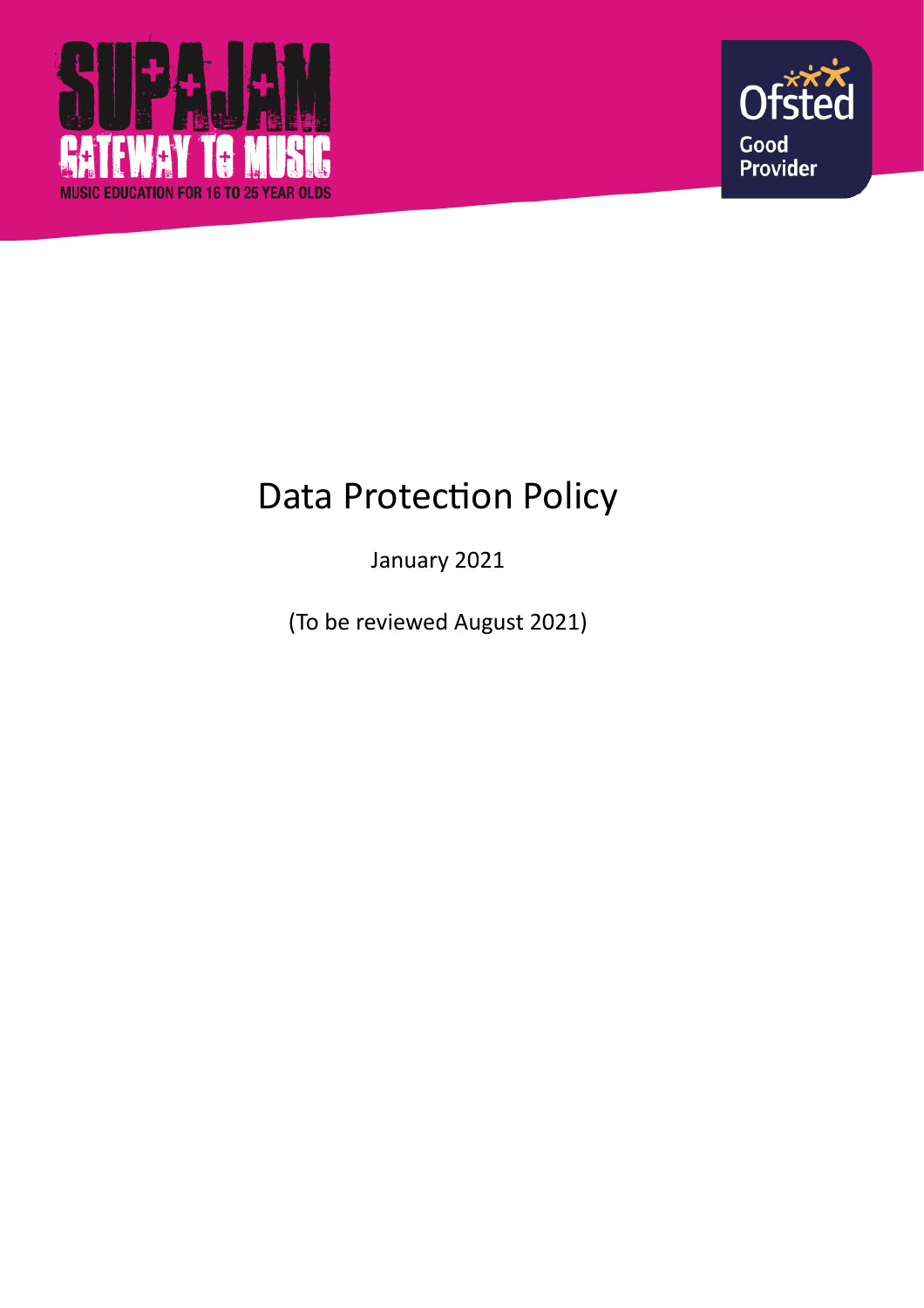



# Data Protection Policy

January 2021

(To be reviewed August 2021)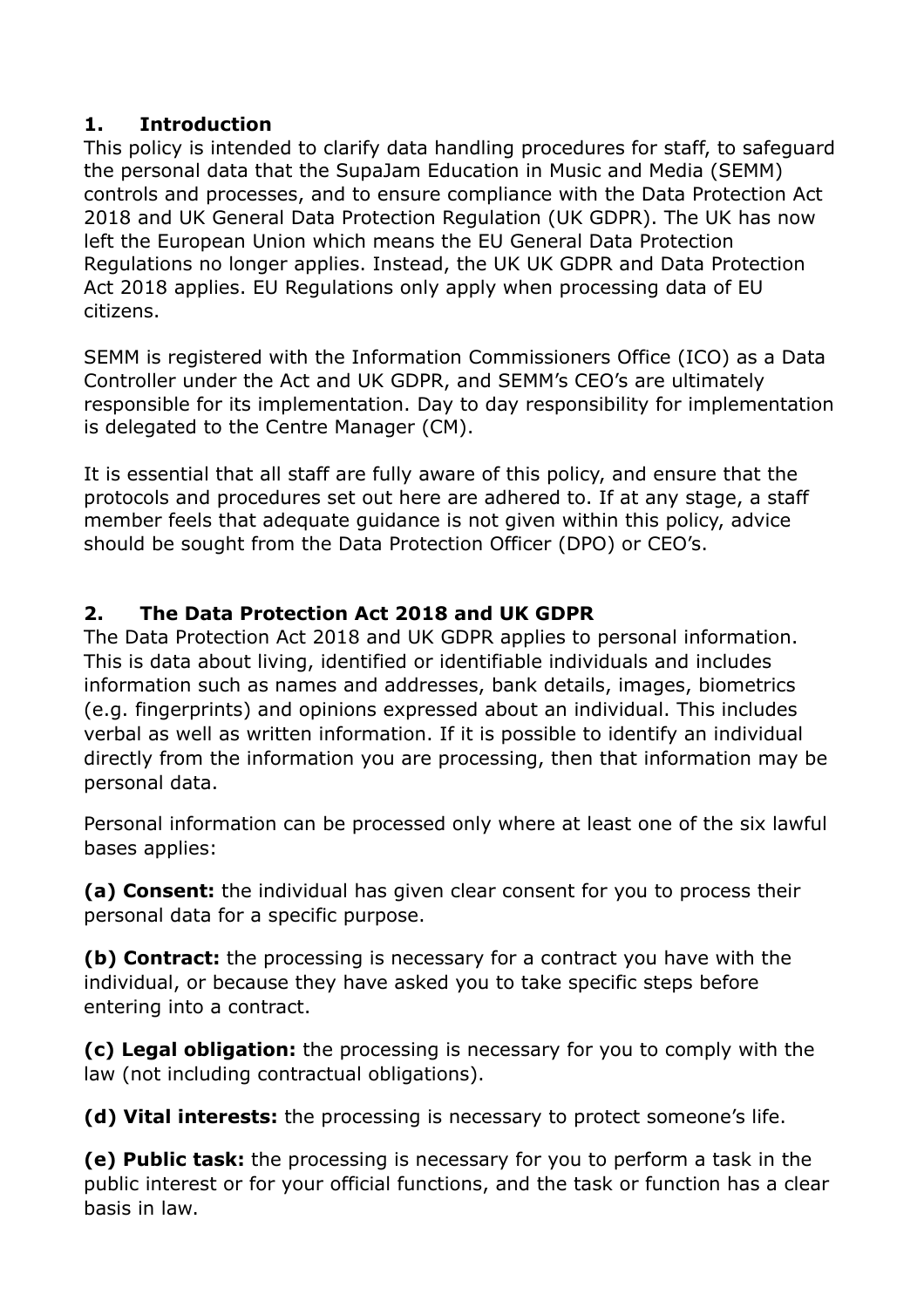#### **1. Introduction**

This policy is intended to clarify data handling procedures for staff, to safeguard the personal data that the SupaJam Education in Music and Media (SEMM) controls and processes, and to ensure compliance with the Data Protection Act 2018 and UK General Data Protection Regulation (UK GDPR). The UK has now left the European Union which means the EU General Data Protection Regulations no longer applies. Instead, the UK UK GDPR and Data Protection Act 2018 applies. EU Regulations only apply when processing data of EU citizens.

SEMM is registered with the Information Commissioners Office (ICO) as a Data Controller under the Act and UK GDPR, and SEMM's CEO's are ultimately responsible for its implementation. Day to day responsibility for implementation is delegated to the Centre Manager (CM).

It is essential that all staff are fully aware of this policy, and ensure that the protocols and procedures set out here are adhered to. If at any stage, a staff member feels that adequate guidance is not given within this policy, advice should be sought from the Data Protection Officer (DPO) or CEO's.

# **2. The Data Protection Act 2018 and UK GDPR**

The Data Protection Act 2018 and UK GDPR applies to personal information. This is data about living, identified or identifiable individuals and includes information such as names and addresses, bank details, images, biometrics (e.g. fingerprints) and opinions expressed about an individual. This includes verbal as well as written information. If it is possible to identify an individual directly from the information you are processing, then that information may be personal data.

Personal information can be processed only where at least one of the six lawful bases applies:

**(a) Consent:** the individual has given clear consent for you to process their personal data for a specific purpose.

**(b) Contract:** the processing is necessary for a contract you have with the individual, or because they have asked you to take specific steps before entering into a contract.

**(c) Legal obligation:** the processing is necessary for you to comply with the law (not including contractual obligations).

**(d) Vital interests:** the processing is necessary to protect someone's life.

**(e) Public task:** the processing is necessary for you to perform a task in the public interest or for your official functions, and the task or function has a clear basis in law.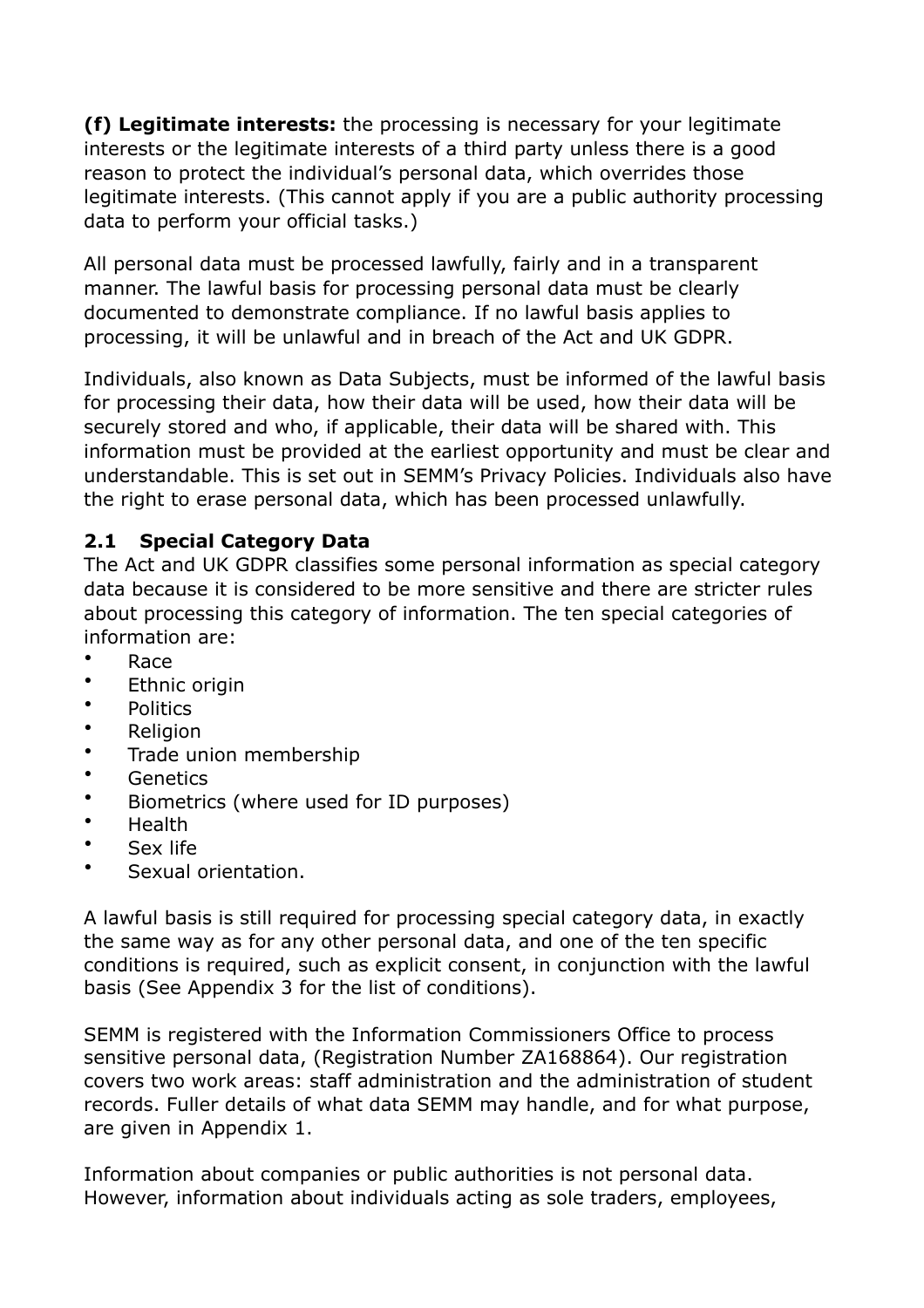**(f) Legitimate interests:** the processing is necessary for your legitimate interests or the legitimate interests of a third party unless there is a good reason to protect the individual's personal data, which overrides those legitimate interests. (This cannot apply if you are a public authority processing data to perform your official tasks.)

All personal data must be processed lawfully, fairly and in a transparent manner. The lawful basis for processing personal data must be clearly documented to demonstrate compliance. If no lawful basis applies to processing, it will be unlawful and in breach of the Act and UK GDPR.

Individuals, also known as Data Subjects, must be informed of the lawful basis for processing their data, how their data will be used, how their data will be securely stored and who, if applicable, their data will be shared with. This information must be provided at the earliest opportunity and must be clear and understandable. This is set out in SEMM's Privacy Policies. Individuals also have the right to erase personal data, which has been processed unlawfully.

# **2.1 Special Category Data**

The Act and UK GDPR classifies some personal information as special category data because it is considered to be more sensitive and there are stricter rules about processing this category of information. The ten special categories of information are:

- Race
- Ethnic origin
- Politics
- Religion
- Trade union membership
- Genetics
- Biometrics (where used for ID purposes)
- Health
- Sex life
- Sexual orientation.

A lawful basis is still required for processing special category data, in exactly the same way as for any other personal data, and one of the ten specific conditions is required, such as explicit consent, in conjunction with the lawful basis (See Appendix 3 for the list of conditions).

SEMM is registered with the Information Commissioners Office to process sensitive personal data, (Registration Number ZA168864). Our registration covers two work areas: staff administration and the administration of student records. Fuller details of what data SEMM may handle, and for what purpose, are given in Appendix 1.

Information about companies or public authorities is not personal data. However, information about individuals acting as sole traders, employees,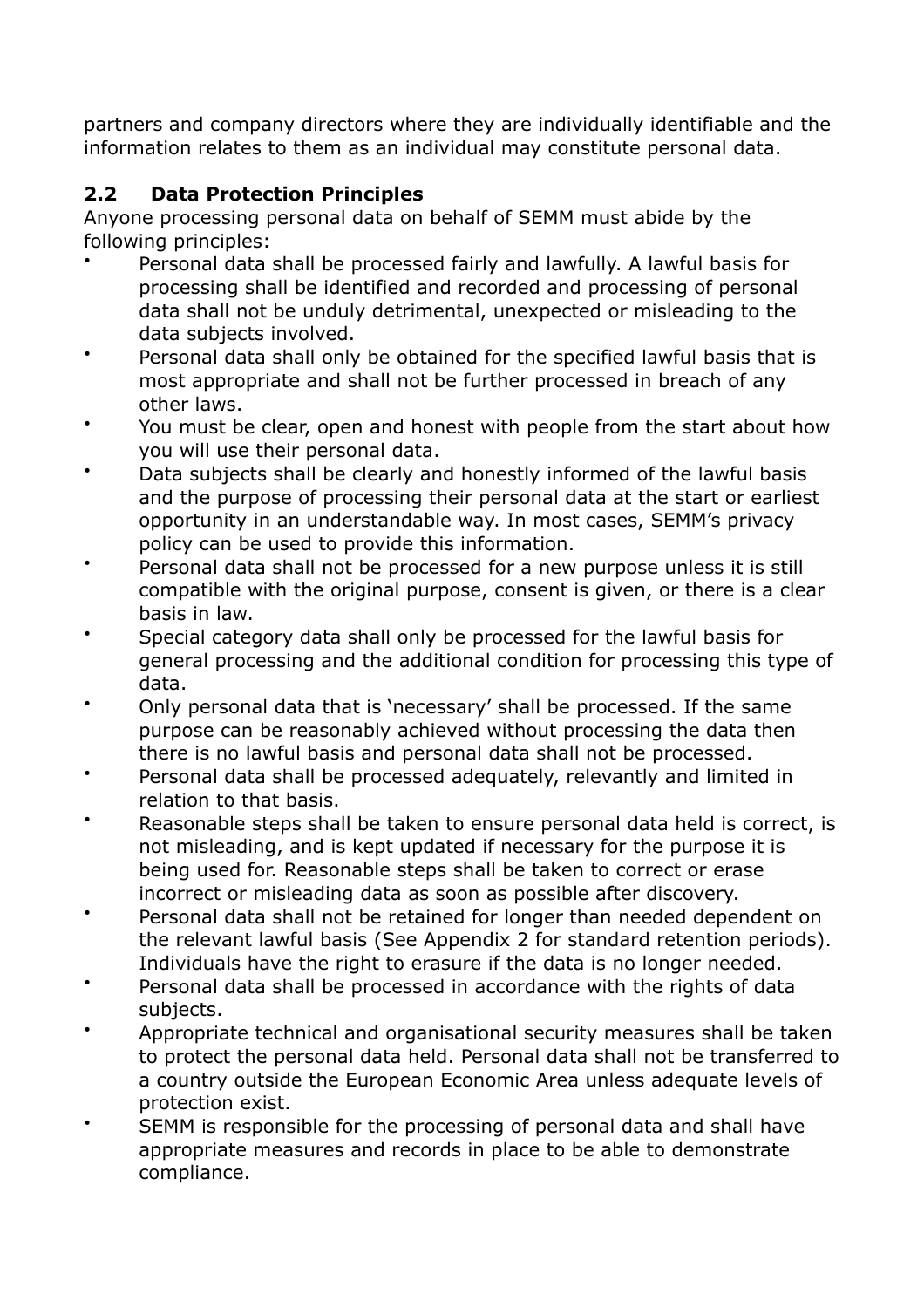partners and company directors where they are individually identifiable and the information relates to them as an individual may constitute personal data.

# **2.2 Data Protection Principles**

Anyone processing personal data on behalf of SEMM must abide by the following principles:

- Personal data shall be processed fairly and lawfully. A lawful basis for processing shall be identified and recorded and processing of personal data shall not be unduly detrimental, unexpected or misleading to the data subjects involved.
- Personal data shall only be obtained for the specified lawful basis that is most appropriate and shall not be further processed in breach of any other laws.
- You must be clear, open and honest with people from the start about how you will use their personal data.
- Data subjects shall be clearly and honestly informed of the lawful basis and the purpose of processing their personal data at the start or earliest opportunity in an understandable way. In most cases, SEMM's privacy policy can be used to provide this information.
- Personal data shall not be processed for a new purpose unless it is still compatible with the original purpose, consent is given, or there is a clear basis in law.
- Special category data shall only be processed for the lawful basis for general processing and the additional condition for processing this type of data.
- Only personal data that is 'necessary' shall be processed. If the same purpose can be reasonably achieved without processing the data then there is no lawful basis and personal data shall not be processed.
- Personal data shall be processed adequately, relevantly and limited in relation to that basis.
- Reasonable steps shall be taken to ensure personal data held is correct, is not misleading, and is kept updated if necessary for the purpose it is being used for. Reasonable steps shall be taken to correct or erase incorrect or misleading data as soon as possible after discovery.
- Personal data shall not be retained for longer than needed dependent on the relevant lawful basis (See Appendix 2 for standard retention periods). Individuals have the right to erasure if the data is no longer needed.
- Personal data shall be processed in accordance with the rights of data subjects.
- Appropriate technical and organisational security measures shall be taken to protect the personal data held. Personal data shall not be transferred to a country outside the European Economic Area unless adequate levels of protection exist.
- SEMM is responsible for the processing of personal data and shall have appropriate measures and records in place to be able to demonstrate compliance.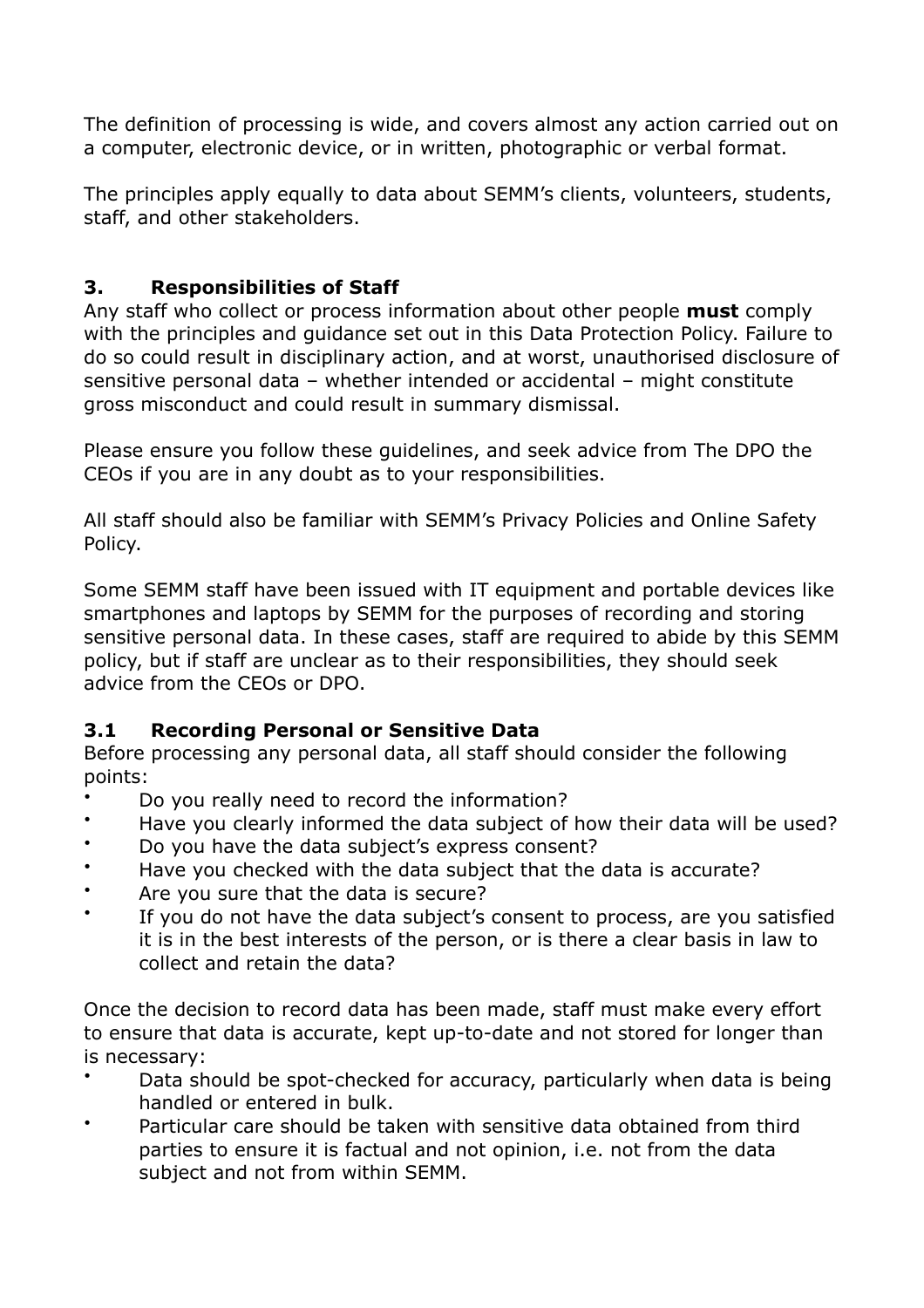The definition of processing is wide, and covers almost any action carried out on a computer, electronic device, or in written, photographic or verbal format.

The principles apply equally to data about SEMM's clients, volunteers, students, staff, and other stakeholders.

#### **3. Responsibilities of Staff**

Any staff who collect or process information about other people **must** comply with the principles and guidance set out in this Data Protection Policy. Failure to do so could result in disciplinary action, and at worst, unauthorised disclosure of sensitive personal data – whether intended or accidental – might constitute gross misconduct and could result in summary dismissal.

Please ensure you follow these guidelines, and seek advice from The DPO the CEOs if you are in any doubt as to your responsibilities.

All staff should also be familiar with SEMM's Privacy Policies and Online Safety Policy.

Some SEMM staff have been issued with IT equipment and portable devices like smartphones and laptops by SEMM for the purposes of recording and storing sensitive personal data. In these cases, staff are required to abide by this SEMM policy, but if staff are unclear as to their responsibilities, they should seek advice from the CEOs or DPO.

#### **3.1 Recording Personal or Sensitive Data**

Before processing any personal data, all staff should consider the following points:

- Do you really need to record the information?
- Have you clearly informed the data subject of how their data will be used?
- Do you have the data subject's express consent?
- Have you checked with the data subject that the data is accurate?
- Are you sure that the data is secure?
- If you do not have the data subject's consent to process, are you satisfied it is in the best interests of the person, or is there a clear basis in law to collect and retain the data?

Once the decision to record data has been made, staff must make every effort to ensure that data is accurate, kept up-to-date and not stored for longer than is necessary:

- Data should be spot-checked for accuracy, particularly when data is being handled or entered in bulk.
- Particular care should be taken with sensitive data obtained from third parties to ensure it is factual and not opinion, i.e. not from the data subject and not from within SEMM.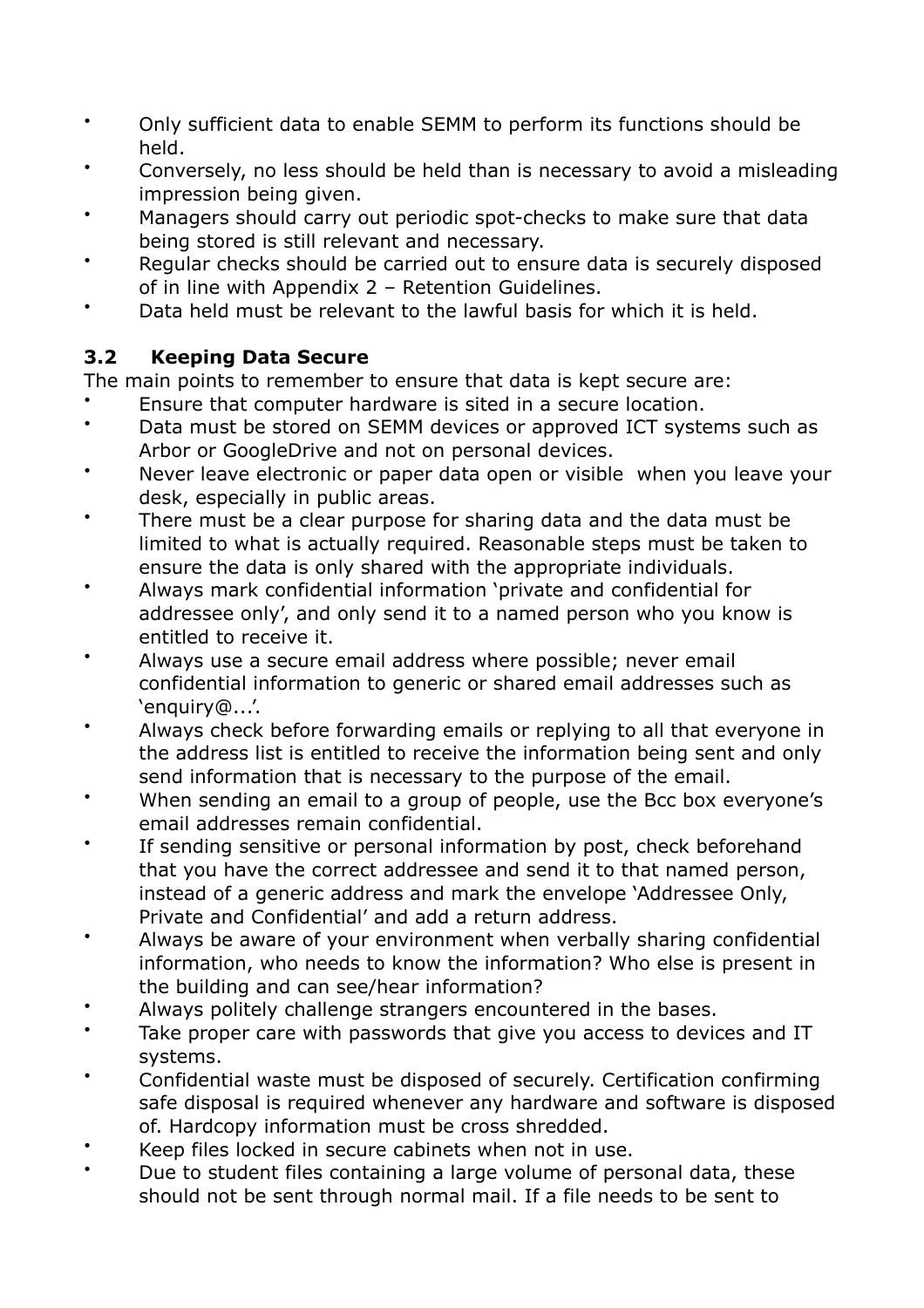- Only sufficient data to enable SEMM to perform its functions should be held.
- Conversely, no less should be held than is necessary to avoid a misleading impression being given.
- Managers should carry out periodic spot-checks to make sure that data being stored is still relevant and necessary.
- Regular checks should be carried out to ensure data is securely disposed of in line with Appendix 2 – Retention Guidelines.
- Data held must be relevant to the lawful basis for which it is held.

# **3.2 Keeping Data Secure**

The main points to remember to ensure that data is kept secure are:

- Ensure that computer hardware is sited in a secure location.
- Data must be stored on SEMM devices or approved ICT systems such as Arbor or GoogleDrive and not on personal devices.
- Never leave electronic or paper data open or visible when you leave your desk, especially in public areas.
- There must be a clear purpose for sharing data and the data must be limited to what is actually required. Reasonable steps must be taken to ensure the data is only shared with the appropriate individuals.
- Always mark confidential information 'private and confidential for addressee only', and only send it to a named person who you know is entitled to receive it.
- Always use a secure email address where possible; never email confidential information to generic or shared email addresses such as 'enquiry@...'.
- Always check before forwarding emails or replying to all that everyone in the address list is entitled to receive the information being sent and only send information that is necessary to the purpose of the email.
- When sending an email to a group of people, use the Bcc box everyone's email addresses remain confidential.
- If sending sensitive or personal information by post, check beforehand that you have the correct addressee and send it to that named person, instead of a generic address and mark the envelope 'Addressee Only, Private and Confidential' and add a return address.
- Always be aware of your environment when verbally sharing confidential information, who needs to know the information? Who else is present in the building and can see/hear information?
- Always politely challenge strangers encountered in the bases.
- Take proper care with passwords that give you access to devices and IT systems.
- Confidential waste must be disposed of securely. Certification confirming safe disposal is required whenever any hardware and software is disposed of. Hardcopy information must be cross shredded.
- Keep files locked in secure cabinets when not in use.
- Due to student files containing a large volume of personal data, these should not be sent through normal mail. If a file needs to be sent to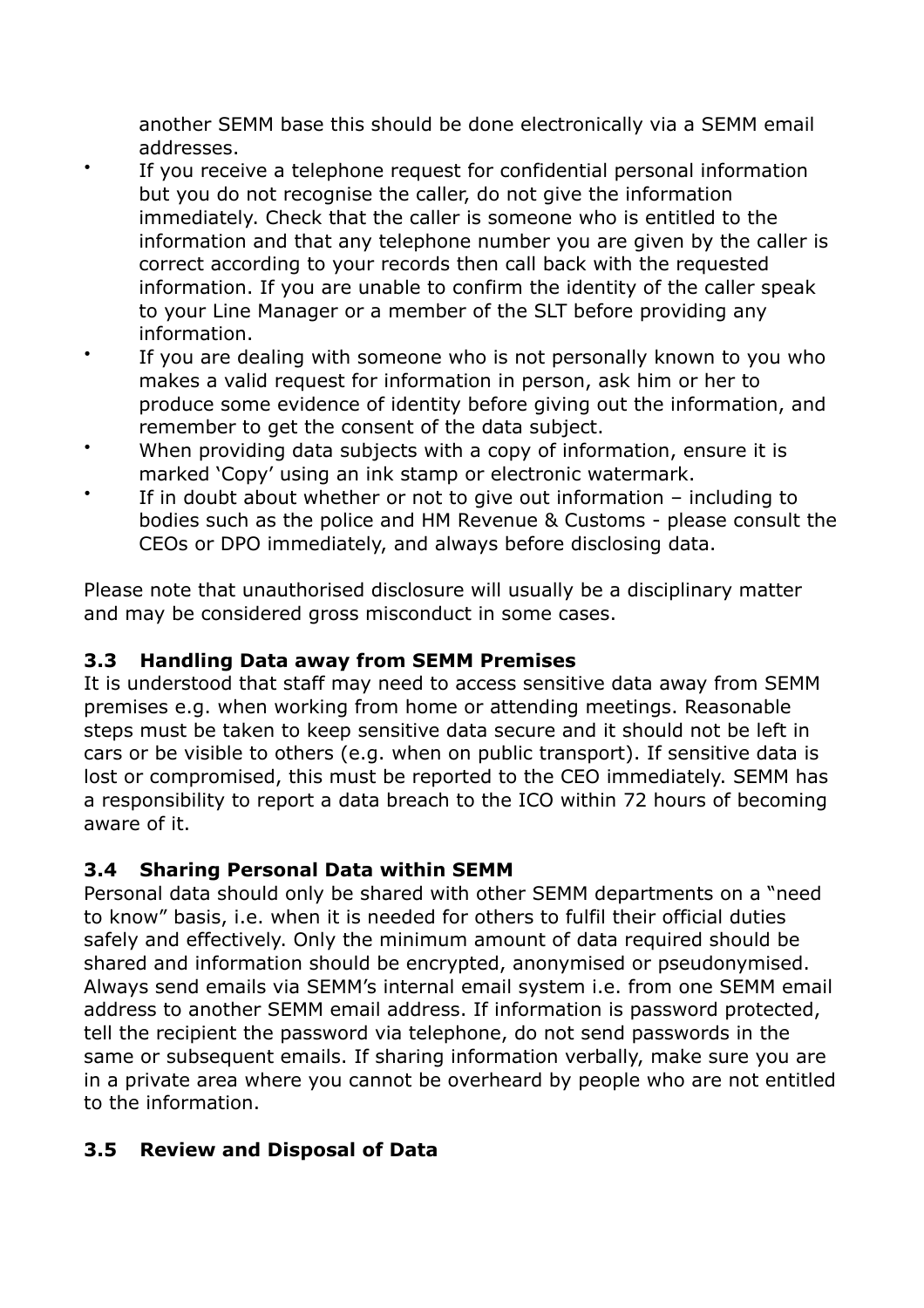another SEMM base this should be done electronically via a SEMM email addresses.

- If you receive a telephone request for confidential personal information but you do not recognise the caller, do not give the information immediately. Check that the caller is someone who is entitled to the information and that any telephone number you are given by the caller is correct according to your records then call back with the requested information. If you are unable to confirm the identity of the caller speak to your Line Manager or a member of the SLT before providing any information.
- If you are dealing with someone who is not personally known to you who makes a valid request for information in person, ask him or her to produce some evidence of identity before giving out the information, and remember to get the consent of the data subject.
- When providing data subjects with a copy of information, ensure it is marked 'Copy' using an ink stamp or electronic watermark.
- If in doubt about whether or not to give out information  $-$  including to bodies such as the police and HM Revenue & Customs - please consult the CEOs or DPO immediately, and always before disclosing data.

Please note that unauthorised disclosure will usually be a disciplinary matter and may be considered gross misconduct in some cases.

#### **3.3 Handling Data away from SEMM Premises**

It is understood that staff may need to access sensitive data away from SEMM premises e.g. when working from home or attending meetings. Reasonable steps must be taken to keep sensitive data secure and it should not be left in cars or be visible to others (e.g. when on public transport). If sensitive data is lost or compromised, this must be reported to the CEO immediately. SEMM has a responsibility to report a data breach to the ICO within 72 hours of becoming aware of it.

# **3.4 Sharing Personal Data within SEMM**

Personal data should only be shared with other SEMM departments on a "need to know" basis, i.e. when it is needed for others to fulfil their official duties safely and effectively. Only the minimum amount of data required should be shared and information should be encrypted, anonymised or pseudonymised. Always send emails via SEMM's internal email system i.e. from one SEMM email address to another SEMM email address. If information is password protected, tell the recipient the password via telephone, do not send passwords in the same or subsequent emails. If sharing information verbally, make sure you are in a private area where you cannot be overheard by people who are not entitled to the information.

#### **3.5 Review and Disposal of Data**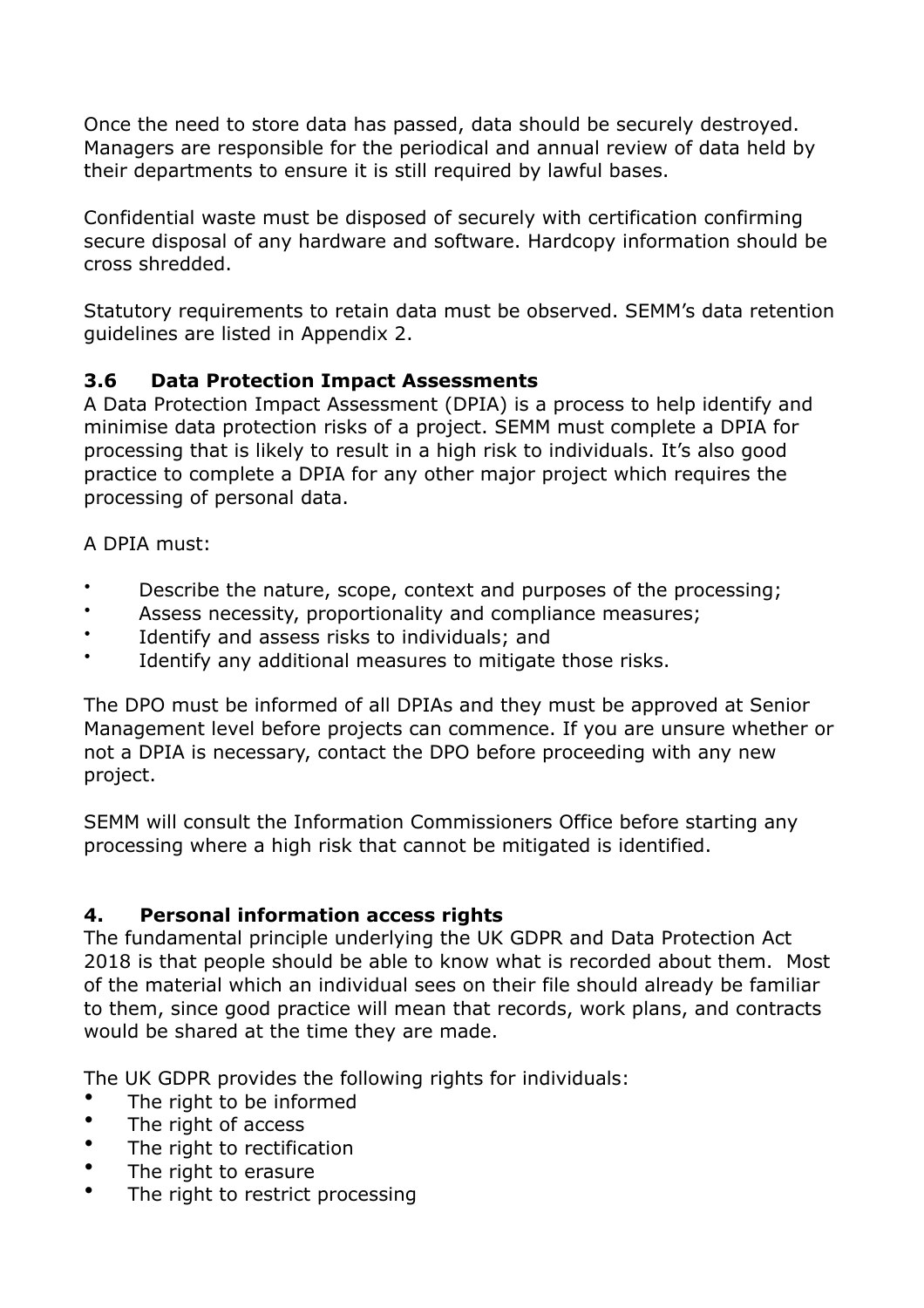Once the need to store data has passed, data should be securely destroyed. Managers are responsible for the periodical and annual review of data held by their departments to ensure it is still required by lawful bases.

Confidential waste must be disposed of securely with certification confirming secure disposal of any hardware and software. Hardcopy information should be cross shredded.

Statutory requirements to retain data must be observed. SEMM's data retention guidelines are listed in Appendix 2.

# **3.6 Data Protection Impact Assessments**

A Data Protection Impact Assessment (DPIA) is a process to help identify and minimise data protection risks of a project. SEMM must complete a DPIA for processing that is likely to result in a high risk to individuals. It's also good practice to complete a DPIA for any other major project which requires the processing of personal data.

A DPIA must:

- Describe the nature, scope, context and purposes of the processing;
- Assess necessity, proportionality and compliance measures;
- Identify and assess risks to individuals; and
- Identify any additional measures to mitigate those risks.

The DPO must be informed of all DPIAs and they must be approved at Senior Management level before projects can commence. If you are unsure whether or not a DPIA is necessary, contact the DPO before proceeding with any new project.

SEMM will consult the Information Commissioners Office before starting any processing where a high risk that cannot be mitigated is identified.

# **4. Personal information access rights**

The fundamental principle underlying the UK GDPR and Data Protection Act 2018 is that people should be able to know what is recorded about them. Most of the material which an individual sees on their file should already be familiar to them, since good practice will mean that records, work plans, and contracts would be shared at the time they are made.

The UK GDPR provides the following rights for individuals:

- The right to be informed
- The right of access
- The right to rectification
- The right to erasure
- The right to restrict processing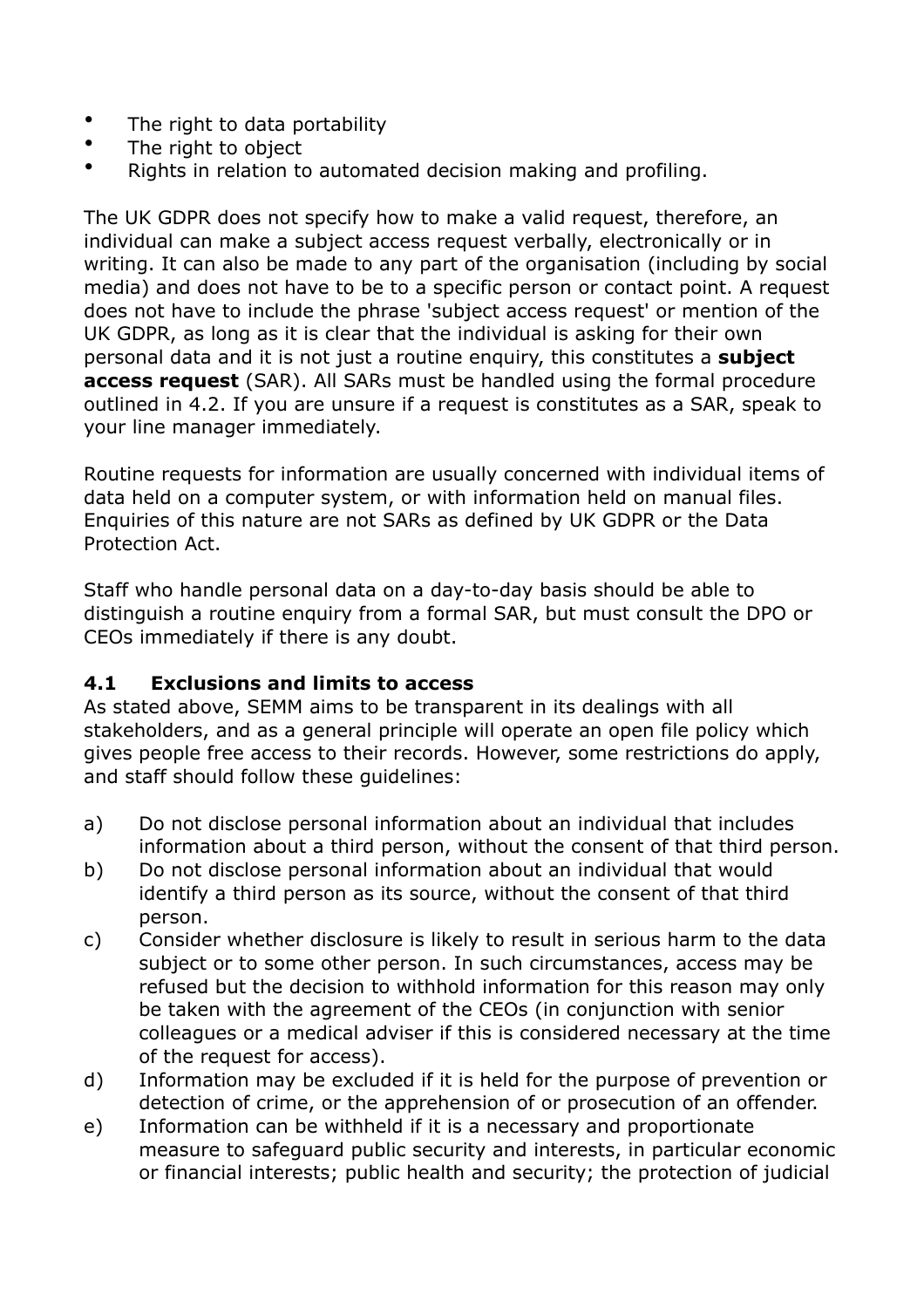- The right to data portability
- The right to object
- Rights in relation to automated decision making and profiling.

The UK GDPR does not specify how to make a valid request, therefore, an individual can make a subject access request verbally, electronically or in writing. It can also be made to any part of the organisation (including by social media) and does not have to be to a specific person or contact point. A request does not have to include the phrase 'subject access request' or mention of the UK GDPR, as long as it is clear that the individual is asking for their own personal data and it is not just a routine enquiry, this constitutes a **subject access request** (SAR). All SARs must be handled using the formal procedure outlined in 4.2. If you are unsure if a request is constitutes as a SAR, speak to your line manager immediately.

Routine requests for information are usually concerned with individual items of data held on a computer system, or with information held on manual files. Enquiries of this nature are not SARs as defined by UK GDPR or the Data Protection Act.

Staff who handle personal data on a day-to-day basis should be able to distinguish a routine enquiry from a formal SAR, but must consult the DPO or CEOs immediately if there is any doubt.

#### **4.1 Exclusions and limits to access**

As stated above, SEMM aims to be transparent in its dealings with all stakeholders, and as a general principle will operate an open file policy which gives people free access to their records. However, some restrictions do apply, and staff should follow these guidelines:

- a) Do not disclose personal information about an individual that includes information about a third person, without the consent of that third person.
- b) Do not disclose personal information about an individual that would identify a third person as its source, without the consent of that third person.
- c) Consider whether disclosure is likely to result in serious harm to the data subject or to some other person. In such circumstances, access may be refused but the decision to withhold information for this reason may only be taken with the agreement of the CEOs (in conjunction with senior colleagues or a medical adviser if this is considered necessary at the time of the request for access).
- d) Information may be excluded if it is held for the purpose of prevention or detection of crime, or the apprehension of or prosecution of an offender.
- e) Information can be withheld if it is a necessary and proportionate measure to safeguard public security and interests, in particular economic or financial interests; public health and security; the protection of judicial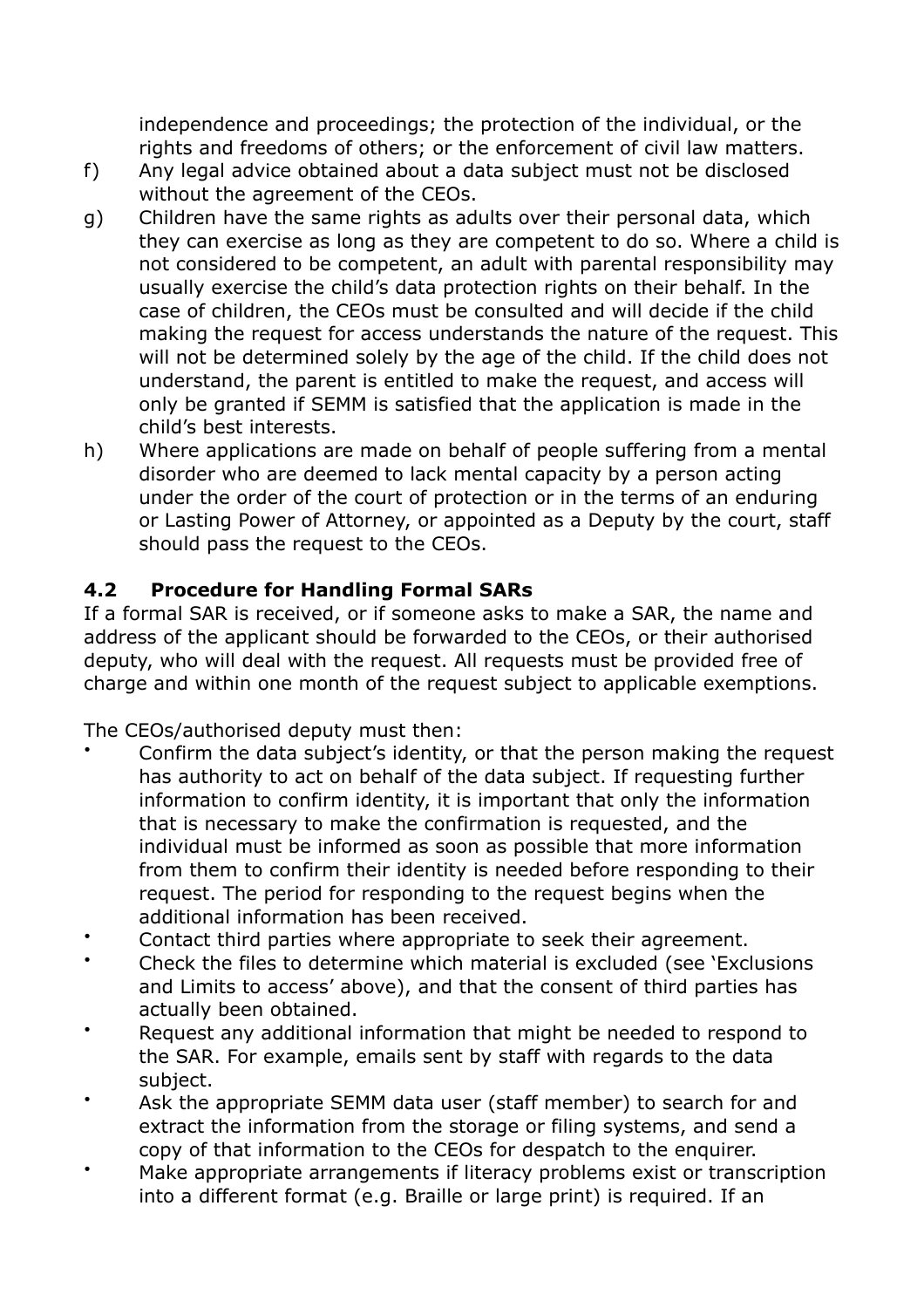independence and proceedings; the protection of the individual, or the rights and freedoms of others; or the enforcement of civil law matters.

- f) Any legal advice obtained about a data subject must not be disclosed without the agreement of the CEOs.
- g) Children have the same rights as adults over their personal data, which they can exercise as long as they are competent to do so. Where a child is not considered to be competent, an adult with parental responsibility may usually exercise the child's data protection rights on their behalf. In the case of children, the CEOs must be consulted and will decide if the child making the request for access understands the nature of the request. This will not be determined solely by the age of the child. If the child does not understand, the parent is entitled to make the request, and access will only be granted if SEMM is satisfied that the application is made in the child's best interests.
- h) Where applications are made on behalf of people suffering from a mental disorder who are deemed to lack mental capacity by a person acting under the order of the court of protection or in the terms of an enduring or Lasting Power of Attorney, or appointed as a Deputy by the court, staff should pass the request to the CEOs.

# **4.2 Procedure for Handling Formal SARs**

If a formal SAR is received, or if someone asks to make a SAR, the name and address of the applicant should be forwarded to the CEOs, or their authorised deputy, who will deal with the request. All requests must be provided free of charge and within one month of the request subject to applicable exemptions.

The CEOs/authorised deputy must then:

- Confirm the data subject's identity, or that the person making the request has authority to act on behalf of the data subject. If requesting further information to confirm identity, it is important that only the information that is necessary to make the confirmation is requested, and the individual must be informed as soon as possible that more information from them to confirm their identity is needed before responding to their request. The period for responding to the request begins when the additional information has been received.
- Contact third parties where appropriate to seek their agreement.
- Check the files to determine which material is excluded (see 'Exclusions and Limits to access' above), and that the consent of third parties has actually been obtained.
- Request any additional information that might be needed to respond to the SAR. For example, emails sent by staff with regards to the data subject.
- Ask the appropriate SEMM data user (staff member) to search for and extract the information from the storage or filing systems, and send a copy of that information to the CEOs for despatch to the enquirer.
- Make appropriate arrangements if literacy problems exist or transcription into a different format (e.g. Braille or large print) is required. If an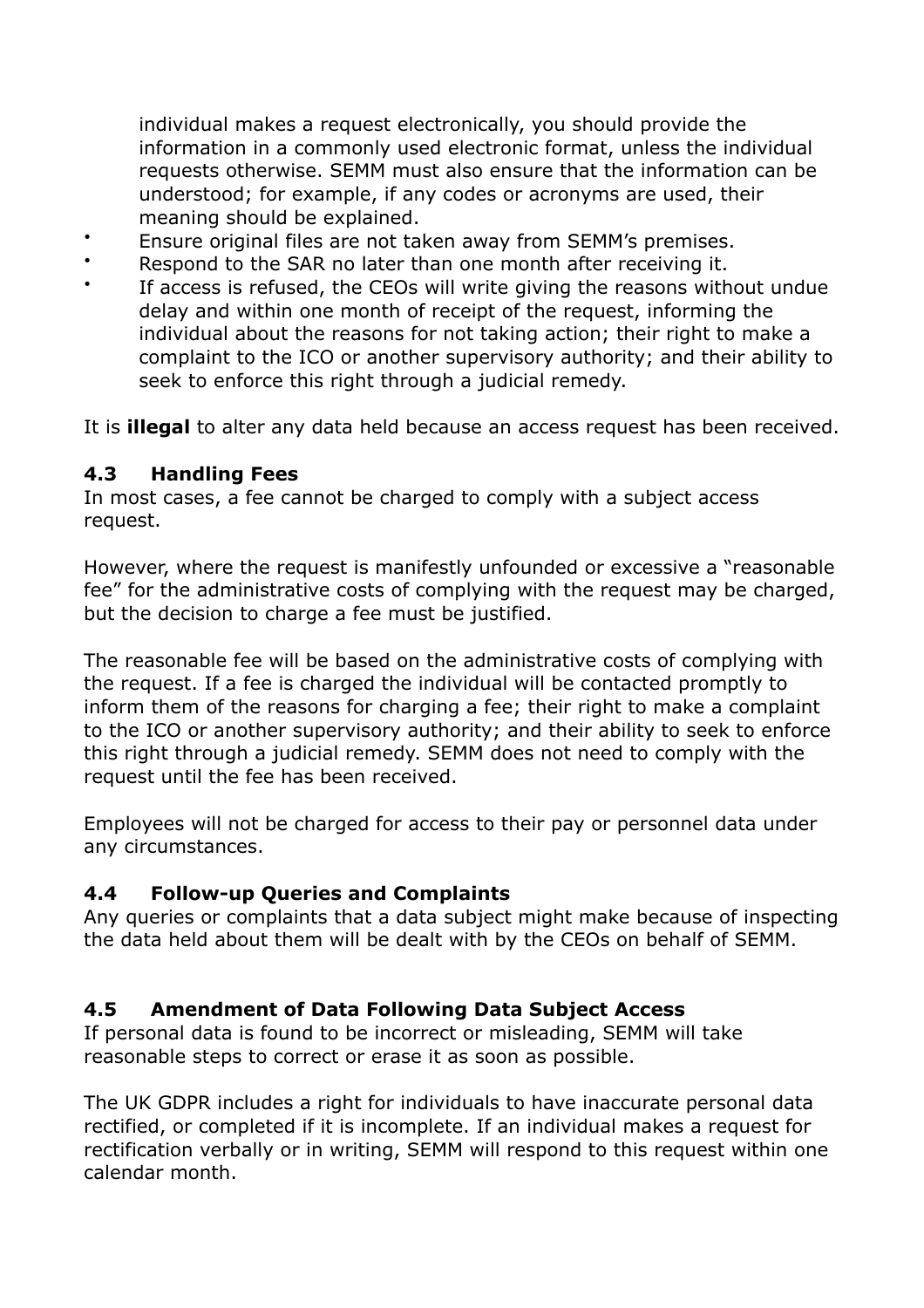individual makes a request electronically, you should provide the information in a commonly used electronic format, unless the individual requests otherwise. SEMM must also ensure that the information can be understood; for example, if any codes or acronyms are used, their meaning should be explained.

- Ensure original files are not taken away from SEMM's premises.
- Respond to the SAR no later than one month after receiving it.
- If access is refused, the CEOs will write giving the reasons without undue delay and within one month of receipt of the request, informing the individual about the reasons for not taking action; their right to make a complaint to the ICO or another supervisory authority; and their ability to seek to enforce this right through a judicial remedy.

It is **illegal** to alter any data held because an access request has been received.

#### **4.3 Handling Fees**

In most cases, a fee cannot be charged to comply with a subject access request.

However, where the request is manifestly unfounded or excessive a "reasonable fee" for the administrative costs of complying with the request may be charged, but the decision to charge a fee must be justified.

The reasonable fee will be based on the administrative costs of complying with the request. If a fee is charged the individual will be contacted promptly to inform them of the reasons for charging a fee; their right to make a complaint to the ICO or another supervisory authority; and their ability to seek to enforce this right through a judicial remedy. SEMM does not need to comply with the request until the fee has been received.

Employees will not be charged for access to their pay or personnel data under any circumstances.

#### **4.4 Follow-up Queries and Complaints**

Any queries or complaints that a data subject might make because of inspecting the data held about them will be dealt with by the CEOs on behalf of SEMM.

#### **4.5 Amendment of Data Following Data Subject Access**

If personal data is found to be incorrect or misleading, SEMM will take reasonable steps to correct or erase it as soon as possible.

The UK GDPR includes a right for individuals to have inaccurate personal data rectified, or completed if it is incomplete. If an individual makes a request for rectification verbally or in writing, SEMM will respond to this request within one calendar month.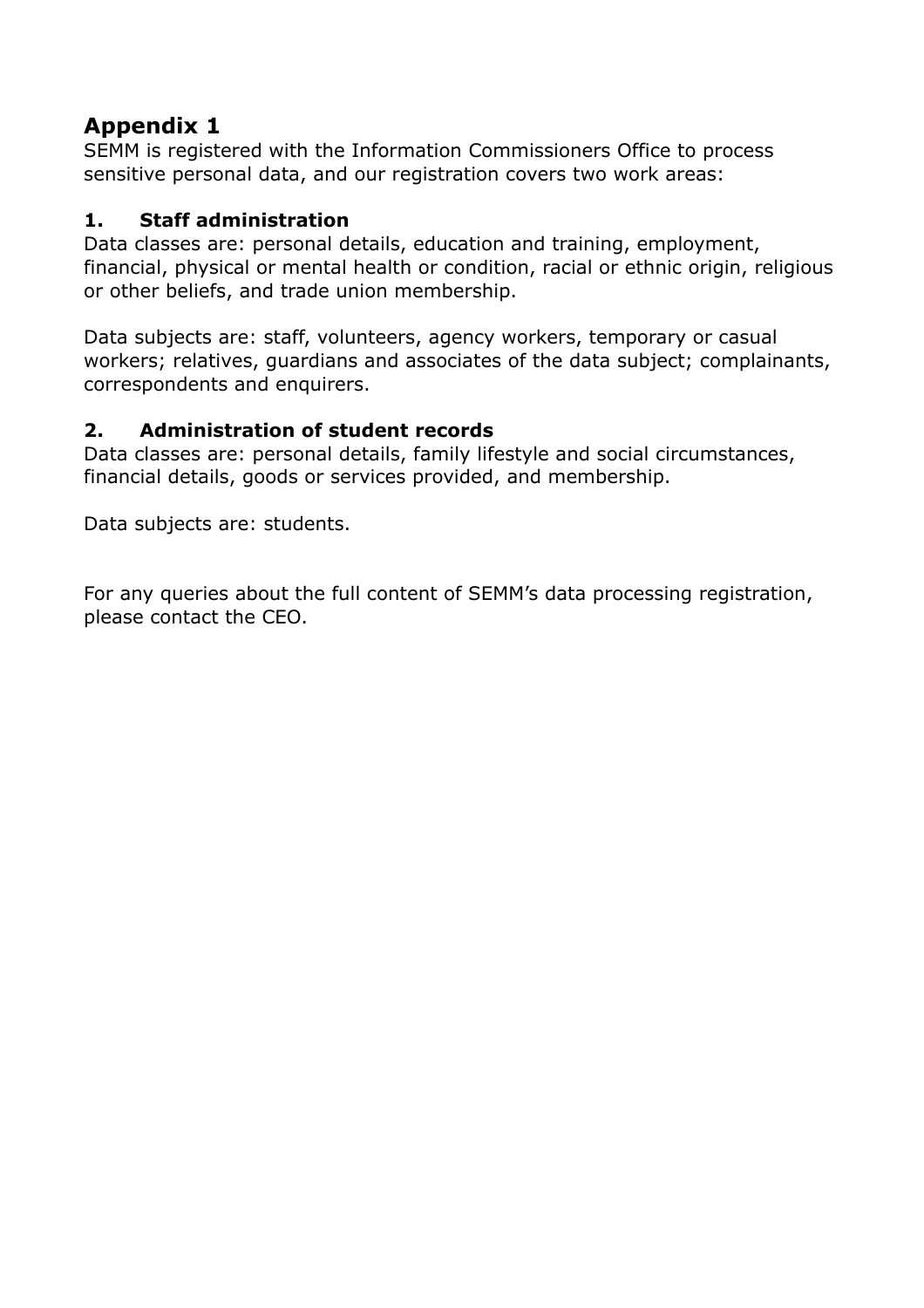# **Appendix 1**

SEMM is registered with the Information Commissioners Office to process sensitive personal data, and our registration covers two work areas:

#### **1. Staff administration**

Data classes are: personal details, education and training, employment, financial, physical or mental health or condition, racial or ethnic origin, religious or other beliefs, and trade union membership.

Data subjects are: staff, volunteers, agency workers, temporary or casual workers; relatives, guardians and associates of the data subject; complainants, correspondents and enquirers.

#### **2. Administration of student records**

Data classes are: personal details, family lifestyle and social circumstances, financial details, goods or services provided, and membership.

Data subjects are: students.

For any queries about the full content of SEMM's data processing registration, please contact the CEO.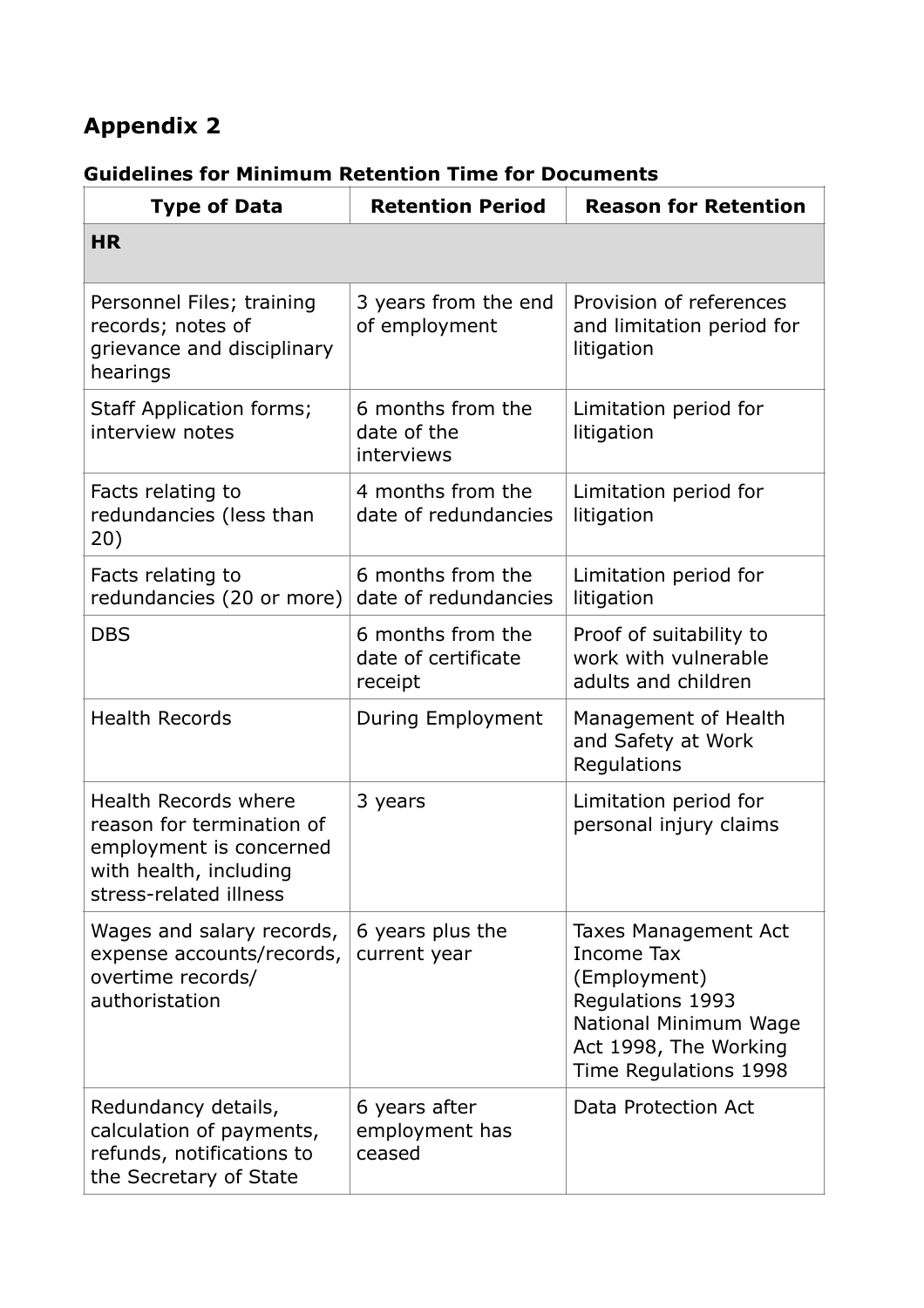# **Appendix 2**

# **Guidelines for Minimum Retention Time for Documents**

| <b>Type of Data</b>                                                                                                                     | <b>Retention Period</b>                             | <b>Reason for Retention</b>                                                                                                                                     |
|-----------------------------------------------------------------------------------------------------------------------------------------|-----------------------------------------------------|-----------------------------------------------------------------------------------------------------------------------------------------------------------------|
| <b>HR</b>                                                                                                                               |                                                     |                                                                                                                                                                 |
| Personnel Files; training<br>records; notes of<br>grievance and disciplinary<br>hearings                                                | 3 years from the end<br>of employment               | Provision of references<br>and limitation period for<br>litigation                                                                                              |
| <b>Staff Application forms;</b><br>interview notes                                                                                      | 6 months from the<br>date of the<br>interviews      | Limitation period for<br>litigation                                                                                                                             |
| Facts relating to<br>redundancies (less than<br>20)                                                                                     | 4 months from the<br>date of redundancies           | Limitation period for<br>litigation                                                                                                                             |
| Facts relating to<br>redundancies (20 or more)                                                                                          | 6 months from the<br>date of redundancies           | Limitation period for<br>litigation                                                                                                                             |
| <b>DBS</b>                                                                                                                              | 6 months from the<br>date of certificate<br>receipt | Proof of suitability to<br>work with vulnerable<br>adults and children                                                                                          |
| <b>Health Records</b>                                                                                                                   | During Employment                                   | Management of Health<br>and Safety at Work<br>Regulations                                                                                                       |
| <b>Health Records where</b><br>reason for termination of<br>employment is concerned<br>with health, including<br>stress-related illness | 3 years                                             | Limitation period for<br>personal injury claims                                                                                                                 |
| Wages and salary records,<br>expense accounts/records,<br>overtime records/<br>authoristation                                           | 6 years plus the<br>current year                    | <b>Taxes Management Act</b><br><b>Income Tax</b><br>(Employment)<br>Regulations 1993<br>National Minimum Wage<br>Act 1998, The Working<br>Time Regulations 1998 |
| Redundancy details,<br>calculation of payments,<br>refunds, notifications to<br>the Secretary of State                                  | 6 years after<br>employment has<br>ceased           | Data Protection Act                                                                                                                                             |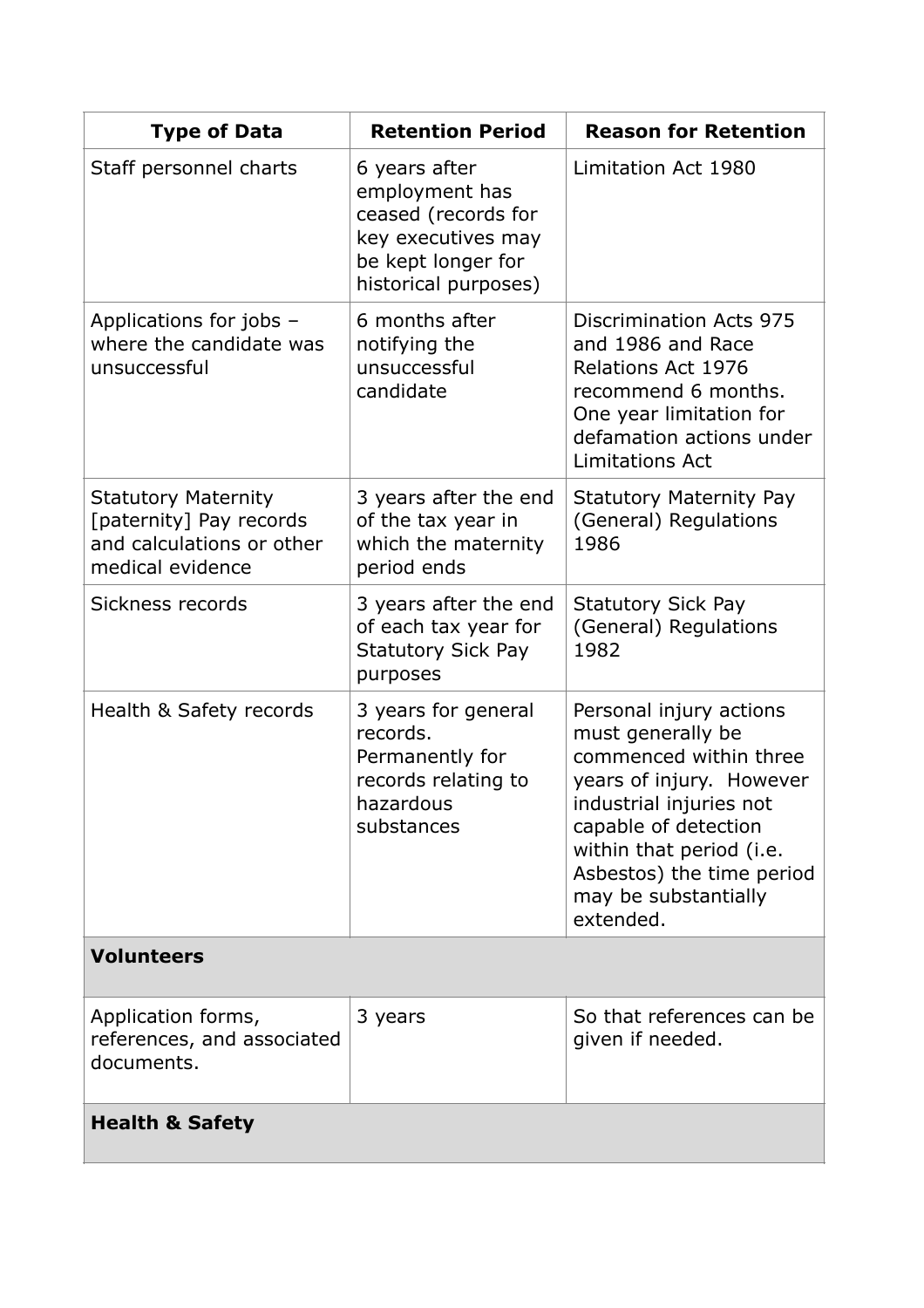| <b>Type of Data</b>                                                                                    | <b>Retention Period</b>                                                                                                    | <b>Reason for Retention</b>                                                                                                                                                                                                                         |
|--------------------------------------------------------------------------------------------------------|----------------------------------------------------------------------------------------------------------------------------|-----------------------------------------------------------------------------------------------------------------------------------------------------------------------------------------------------------------------------------------------------|
| Staff personnel charts                                                                                 | 6 years after<br>employment has<br>ceased (records for<br>key executives may<br>be kept longer for<br>historical purposes) | Limitation Act 1980                                                                                                                                                                                                                                 |
| Applications for jobs -<br>where the candidate was<br>unsuccessful                                     | 6 months after<br>notifying the<br>unsuccessful<br>candidate                                                               | <b>Discrimination Acts 975</b><br>and 1986 and Race<br>Relations Act 1976<br>recommend 6 months.<br>One year limitation for<br>defamation actions under<br><b>Limitations Act</b>                                                                   |
| <b>Statutory Maternity</b><br>[paternity] Pay records<br>and calculations or other<br>medical evidence | 3 years after the end<br>of the tax year in<br>which the maternity<br>period ends                                          | <b>Statutory Maternity Pay</b><br>(General) Regulations<br>1986                                                                                                                                                                                     |
| Sickness records                                                                                       | 3 years after the end<br>of each tax year for<br><b>Statutory Sick Pay</b><br>purposes                                     | <b>Statutory Sick Pay</b><br>(General) Regulations<br>1982                                                                                                                                                                                          |
| Health & Safety records                                                                                | 3 years for general<br>records.<br>Permanently for<br>records relating to<br>hazardous<br>substances                       | Personal injury actions<br>must generally be<br>commenced within three<br>years of injury. However<br>industrial injuries not<br>capable of detection<br>within that period (i.e.<br>Asbestos) the time period<br>may be substantially<br>extended. |
| <b>Volunteers</b>                                                                                      |                                                                                                                            |                                                                                                                                                                                                                                                     |
| Application forms,<br>references, and associated<br>documents.                                         | 3 years                                                                                                                    | So that references can be<br>given if needed.                                                                                                                                                                                                       |
| <b>Health &amp; Safety</b>                                                                             |                                                                                                                            |                                                                                                                                                                                                                                                     |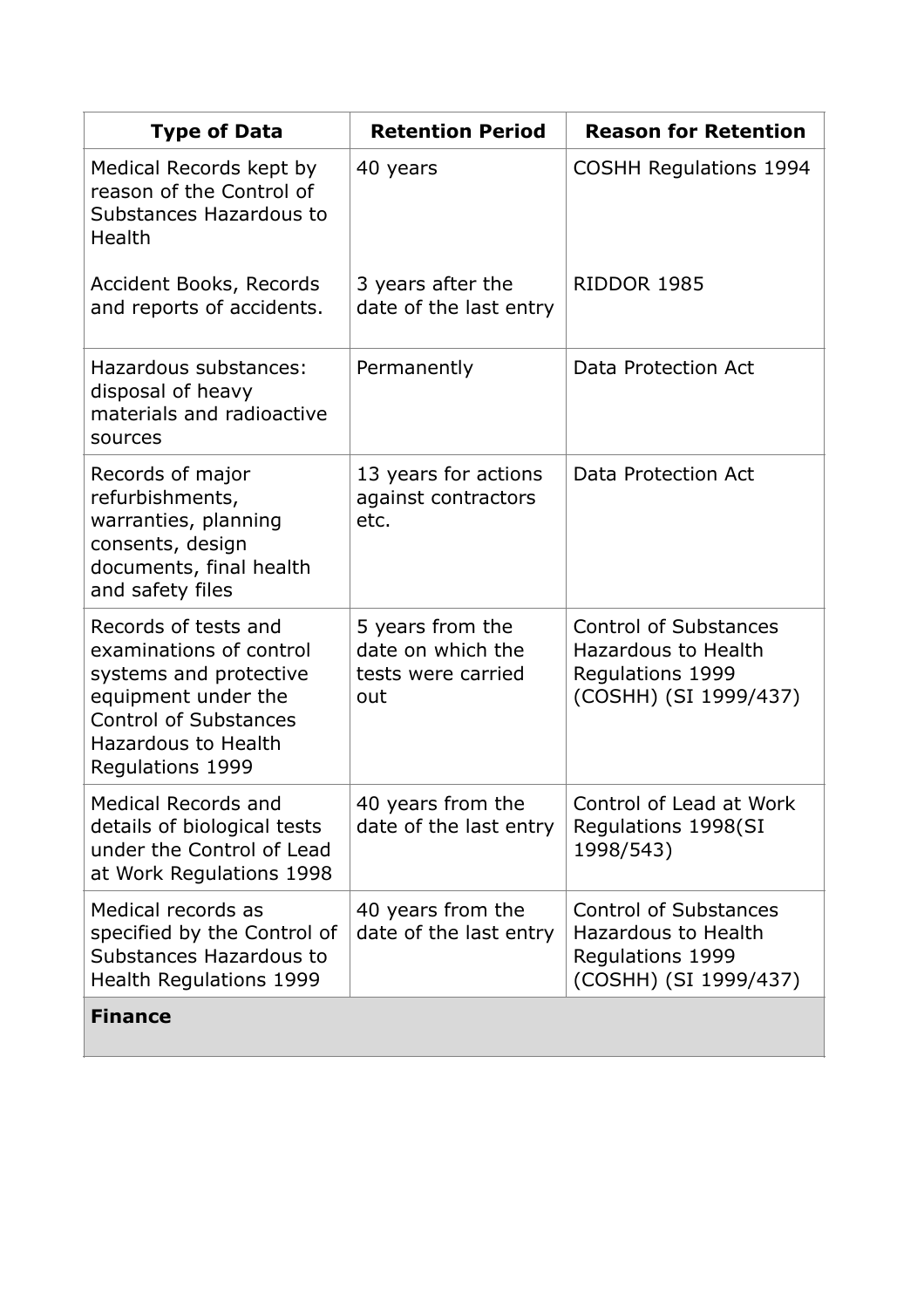| <b>Type of Data</b>                                                                                                                                                                | <b>Retention Period</b>                                            | <b>Reason for Retention</b>                                                                             |
|------------------------------------------------------------------------------------------------------------------------------------------------------------------------------------|--------------------------------------------------------------------|---------------------------------------------------------------------------------------------------------|
| Medical Records kept by<br>reason of the Control of<br>Substances Hazardous to<br>Health                                                                                           | 40 years                                                           | <b>COSHH Regulations 1994</b>                                                                           |
| Accident Books, Records<br>and reports of accidents.                                                                                                                               | 3 years after the<br>date of the last entry                        | RIDDOR 1985                                                                                             |
| Hazardous substances:<br>disposal of heavy<br>materials and radioactive<br>sources                                                                                                 | Permanently                                                        | Data Protection Act                                                                                     |
| Records of major<br>refurbishments,<br>warranties, planning<br>consents, design<br>documents, final health<br>and safety files                                                     | 13 years for actions<br>against contractors<br>etc.                | Data Protection Act                                                                                     |
| Records of tests and<br>examinations of control<br>systems and protective<br>equipment under the<br><b>Control of Substances</b><br><b>Hazardous to Health</b><br>Regulations 1999 | 5 years from the<br>date on which the<br>tests were carried<br>out | <b>Control of Substances</b><br><b>Hazardous to Health</b><br>Regulations 1999<br>(COSHH) (SI 1999/437) |
| Medical Records and<br>details of biological tests<br>under the Control of Lead<br>at Work Regulations 1998                                                                        | 40 years from the<br>date of the last entry                        | Control of Lead at Work<br>Regulations 1998(SI<br>1998/543)                                             |
| Medical records as<br>specified by the Control of<br>Substances Hazardous to<br>Health Regulations 1999                                                                            | 40 years from the<br>date of the last entry                        | <b>Control of Substances</b><br><b>Hazardous to Health</b><br>Regulations 1999<br>(COSHH) (SI 1999/437) |
| <b>Finance</b>                                                                                                                                                                     |                                                                    |                                                                                                         |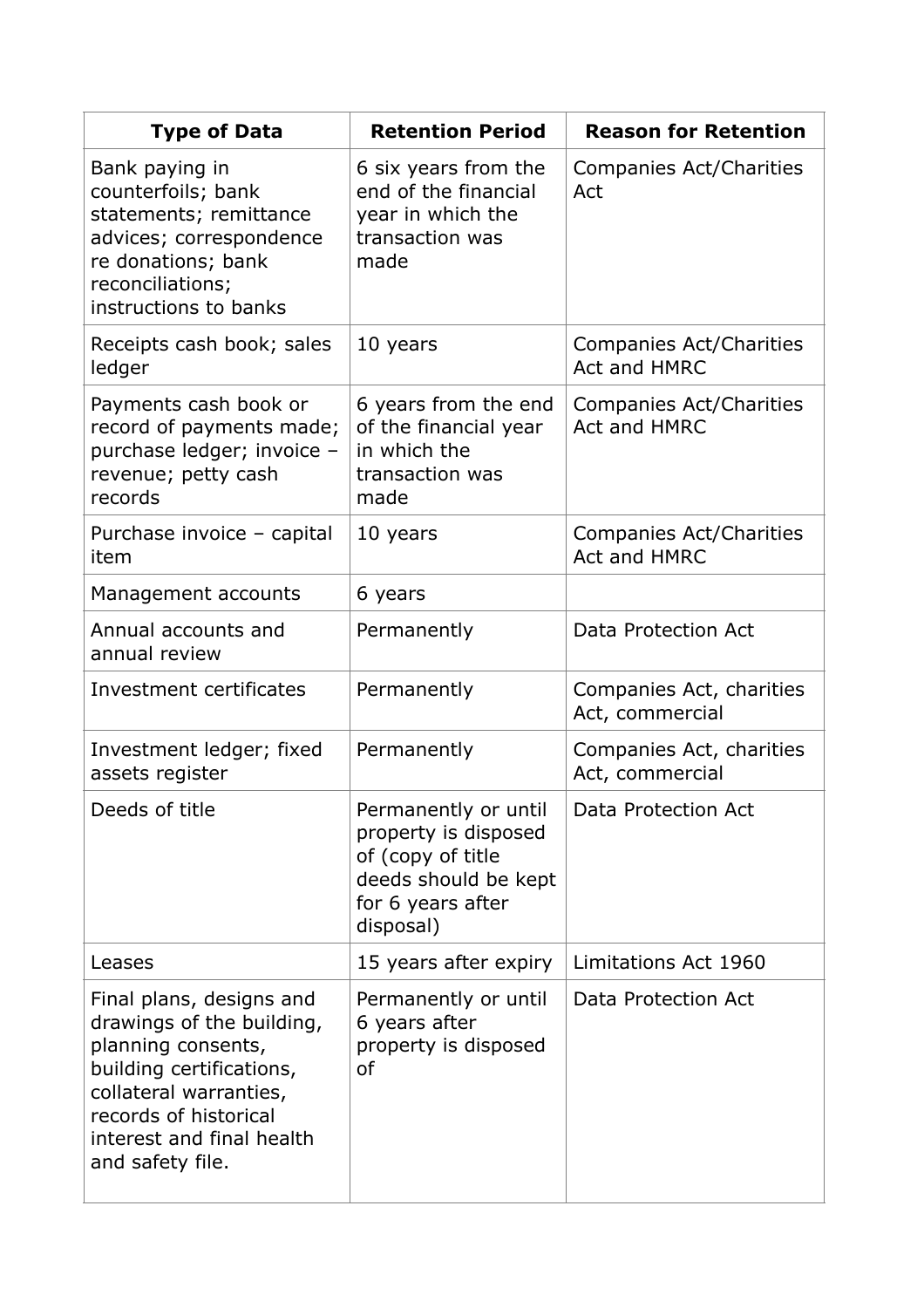| <b>Type of Data</b>                                                                                                                                                                                         | <b>Retention Period</b>                                                                                                     | <b>Reason for Retention</b>                    |
|-------------------------------------------------------------------------------------------------------------------------------------------------------------------------------------------------------------|-----------------------------------------------------------------------------------------------------------------------------|------------------------------------------------|
| Bank paying in<br>counterfoils; bank<br>statements; remittance<br>advices; correspondence<br>re donations; bank<br>reconciliations;<br>instructions to banks                                                | 6 six years from the<br>end of the financial<br>year in which the<br>transaction was<br>made                                | <b>Companies Act/Charities</b><br>Act          |
| Receipts cash book; sales<br>ledger                                                                                                                                                                         | 10 years                                                                                                                    | Companies Act/Charities<br>Act and HMRC        |
| Payments cash book or<br>record of payments made;<br>purchase ledger; invoice -<br>revenue; petty cash<br>records                                                                                           | 6 years from the end<br>of the financial year<br>in which the<br>transaction was<br>made                                    | <b>Companies Act/Charities</b><br>Act and HMRC |
| Purchase invoice - capital<br>item                                                                                                                                                                          | 10 years                                                                                                                    | <b>Companies Act/Charities</b><br>Act and HMRC |
| Management accounts                                                                                                                                                                                         | 6 years                                                                                                                     |                                                |
| Annual accounts and<br>annual review                                                                                                                                                                        | Permanently                                                                                                                 | Data Protection Act                            |
| <b>Investment certificates</b>                                                                                                                                                                              | Permanently                                                                                                                 | Companies Act, charities<br>Act, commercial    |
| Investment ledger; fixed<br>assets register                                                                                                                                                                 | Permanently                                                                                                                 | Companies Act, charities<br>Act, commercial    |
| Deeds of title                                                                                                                                                                                              | Permanently or until<br>property is disposed<br>of (copy of title<br>deeds should be kept<br>for 6 years after<br>disposal) | Data Protection Act                            |
| Leases                                                                                                                                                                                                      | 15 years after expiry                                                                                                       | Limitations Act 1960                           |
| Final plans, designs and<br>drawings of the building,<br>planning consents,<br>building certifications,<br>collateral warranties,<br>records of historical<br>interest and final health<br>and safety file. | Permanently or until<br>6 years after<br>property is disposed<br>οf                                                         | Data Protection Act                            |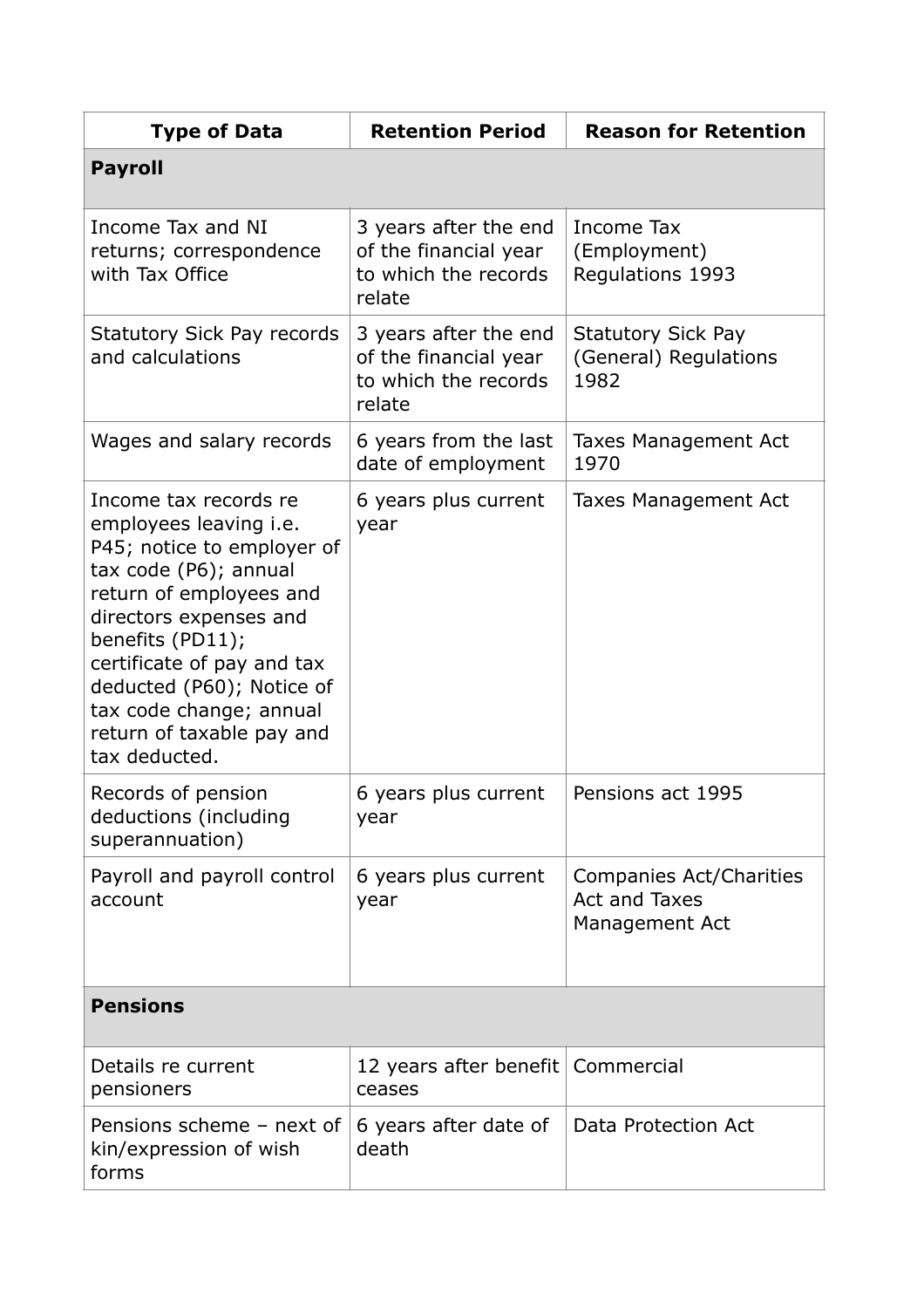| <b>Type of Data</b>                                                                                                                                                                                                                                                                                                        | <b>Retention Period</b>                                                          | <b>Reason for Retention</b>                                       |
|----------------------------------------------------------------------------------------------------------------------------------------------------------------------------------------------------------------------------------------------------------------------------------------------------------------------------|----------------------------------------------------------------------------------|-------------------------------------------------------------------|
| <b>Payroll</b>                                                                                                                                                                                                                                                                                                             |                                                                                  |                                                                   |
| Income Tax and NI<br>returns; correspondence<br>with Tax Office                                                                                                                                                                                                                                                            | 3 years after the end<br>of the financial year<br>to which the records<br>relate | Income Tax<br>(Employment)<br>Regulations 1993                    |
| <b>Statutory Sick Pay records</b><br>and calculations                                                                                                                                                                                                                                                                      | 3 years after the end<br>of the financial year<br>to which the records<br>relate | <b>Statutory Sick Pay</b><br>(General) Regulations<br>1982        |
| Wages and salary records                                                                                                                                                                                                                                                                                                   | 6 years from the last<br>date of employment                                      | Taxes Management Act<br>1970                                      |
| Income tax records re<br>employees leaving <i>i.e.</i><br>P45; notice to employer of<br>tax code (P6); annual<br>return of employees and<br>directors expenses and<br>benefits (PD11);<br>certificate of pay and tax<br>deducted (P60); Notice of<br>tax code change; annual<br>return of taxable pay and<br>tax deducted. | 6 years plus current<br>year                                                     | <b>Taxes Management Act</b>                                       |
| Records of pension<br>deductions (including<br>superannuation)                                                                                                                                                                                                                                                             | 6 years plus current<br>year                                                     | Pensions act 1995                                                 |
| Payroll and payroll control<br>account                                                                                                                                                                                                                                                                                     | 6 years plus current<br>year                                                     | Companies Act/Charities<br><b>Act and Taxes</b><br>Management Act |
| <b>Pensions</b>                                                                                                                                                                                                                                                                                                            |                                                                                  |                                                                   |
| Details re current<br>pensioners                                                                                                                                                                                                                                                                                           | 12 years after benefit<br>ceases                                                 | Commercial                                                        |
| Pensions scheme - next of<br>kin/expression of wish<br>forms                                                                                                                                                                                                                                                               | 6 years after date of<br>death                                                   | Data Protection Act                                               |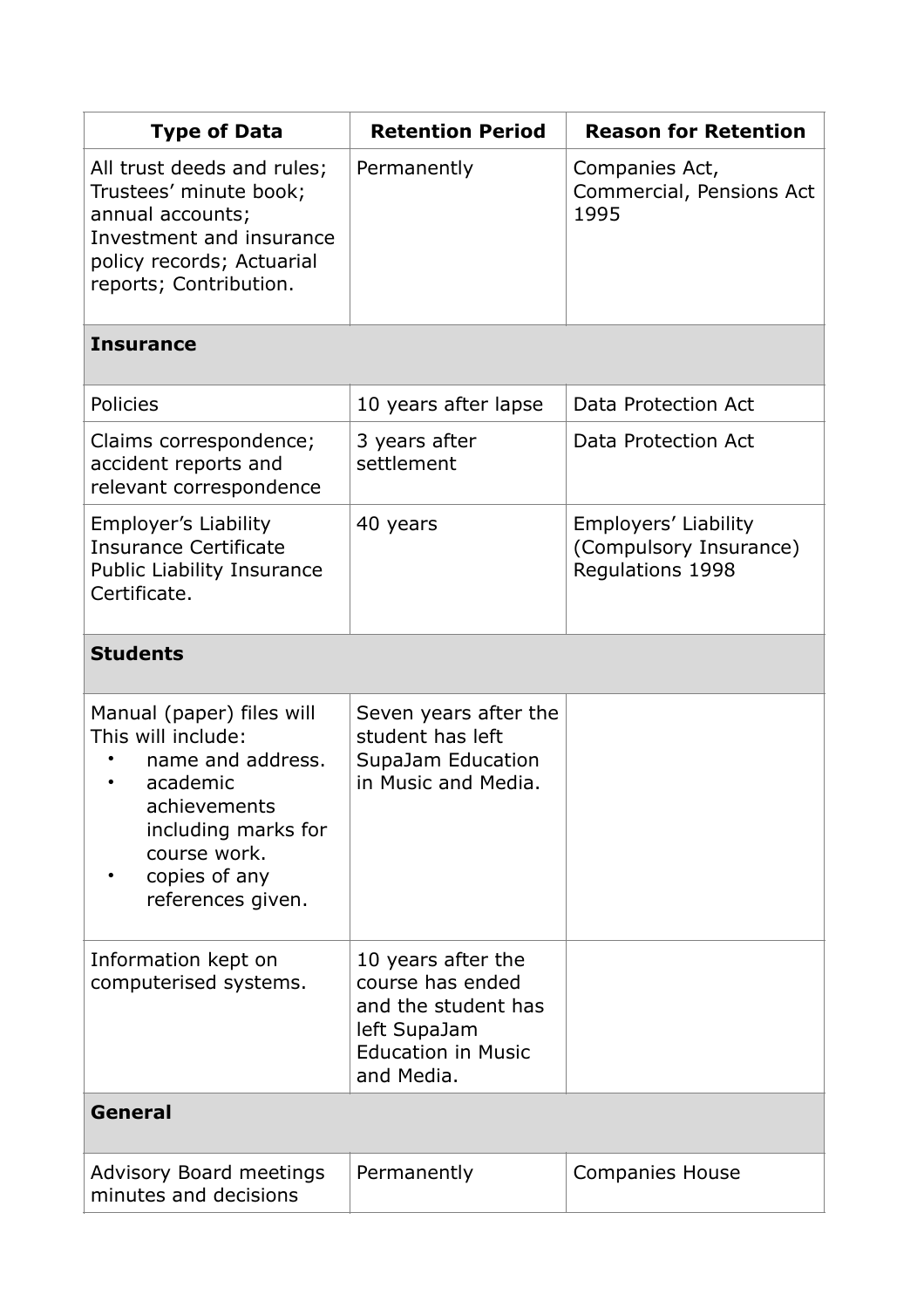| <b>Type of Data</b>                                                                                                                                                           | <b>Retention Period</b>                                                                                                  | <b>Reason for Retention</b>                                        |
|-------------------------------------------------------------------------------------------------------------------------------------------------------------------------------|--------------------------------------------------------------------------------------------------------------------------|--------------------------------------------------------------------|
| All trust deeds and rules;<br>Trustees' minute book;<br>annual accounts;<br>Investment and insurance<br>policy records; Actuarial<br>reports; Contribution.                   | Permanently                                                                                                              | Companies Act,<br>Commercial, Pensions Act<br>1995                 |
| <b>Insurance</b>                                                                                                                                                              |                                                                                                                          |                                                                    |
| Policies                                                                                                                                                                      | 10 years after lapse                                                                                                     | Data Protection Act                                                |
| Claims correspondence;<br>accident reports and<br>relevant correspondence                                                                                                     | 3 years after<br>settlement                                                                                              | Data Protection Act                                                |
| <b>Employer's Liability</b><br><b>Insurance Certificate</b><br><b>Public Liability Insurance</b><br>Certificate.                                                              | 40 years                                                                                                                 | Employers' Liability<br>(Compulsory Insurance)<br>Regulations 1998 |
| <b>Students</b>                                                                                                                                                               |                                                                                                                          |                                                                    |
| Manual (paper) files will<br>This will include:<br>name and address.<br>academic<br>achievements<br>including marks for<br>course work.<br>copies of any<br>references given. | Seven years after the<br>student has left<br>SupaJam Education<br>in Music and Media.                                    |                                                                    |
| Information kept on<br>computerised systems.                                                                                                                                  | 10 years after the<br>course has ended<br>and the student has<br>left SupaJam<br><b>Education in Music</b><br>and Media. |                                                                    |
| General                                                                                                                                                                       |                                                                                                                          |                                                                    |
| <b>Advisory Board meetings</b><br>minutes and decisions                                                                                                                       | Permanently                                                                                                              | <b>Companies House</b>                                             |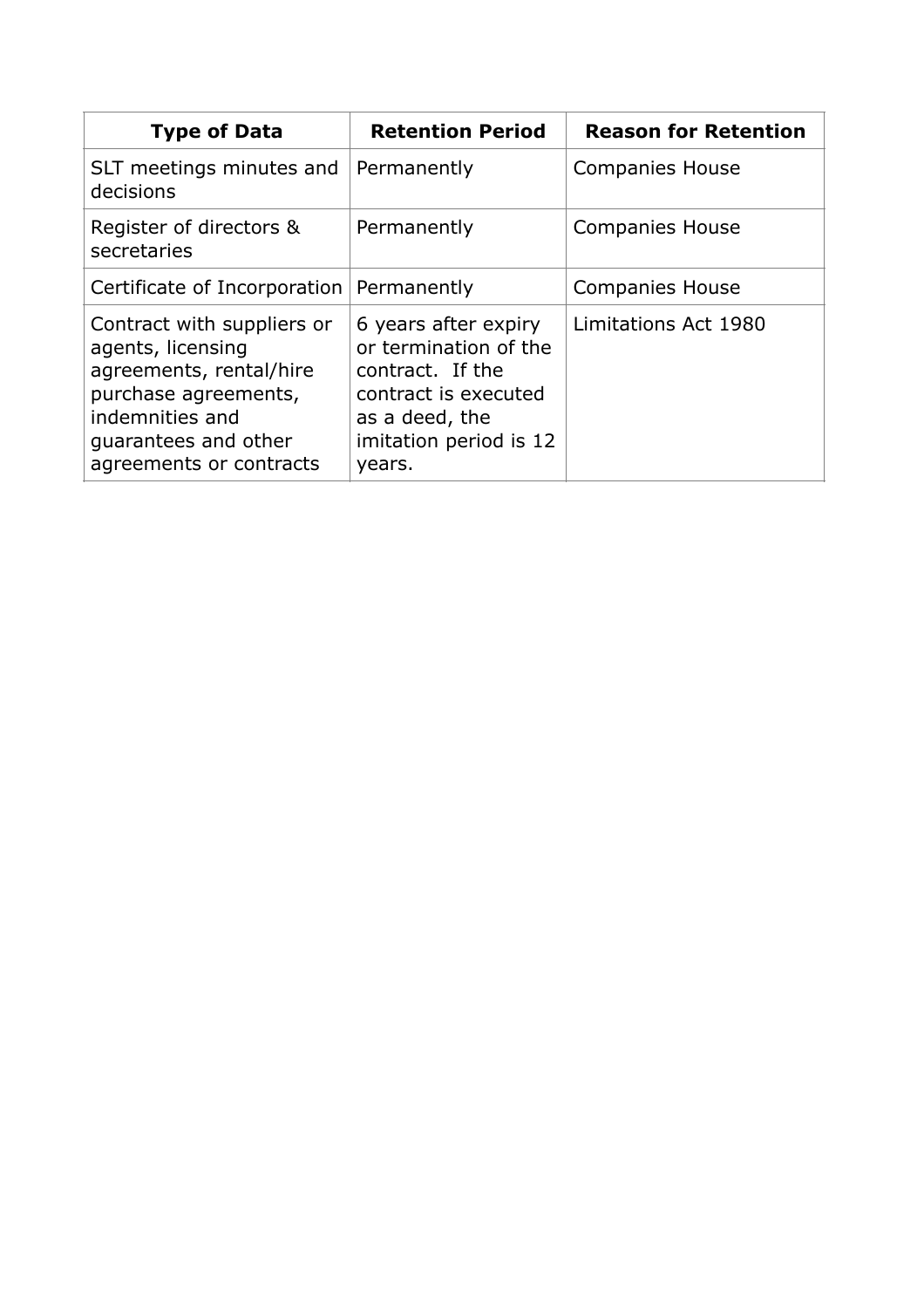| <b>Type of Data</b>                                                                                                                                                      | <b>Retention Period</b>                                                                                                                         | <b>Reason for Retention</b> |
|--------------------------------------------------------------------------------------------------------------------------------------------------------------------------|-------------------------------------------------------------------------------------------------------------------------------------------------|-----------------------------|
| SLT meetings minutes and<br>decisions                                                                                                                                    | Permanently                                                                                                                                     | <b>Companies House</b>      |
| Register of directors &<br>secretaries                                                                                                                                   | Permanently                                                                                                                                     | <b>Companies House</b>      |
| Certificate of Incorporation   Permanently                                                                                                                               |                                                                                                                                                 | <b>Companies House</b>      |
| Contract with suppliers or<br>agents, licensing<br>agreements, rental/hire<br>purchase agreements,<br>indemnities and<br>quarantees and other<br>agreements or contracts | 6 years after expiry<br>or termination of the<br>contract. If the<br>contract is executed<br>as a deed, the<br>imitation period is 12<br>years. | Limitations Act 1980        |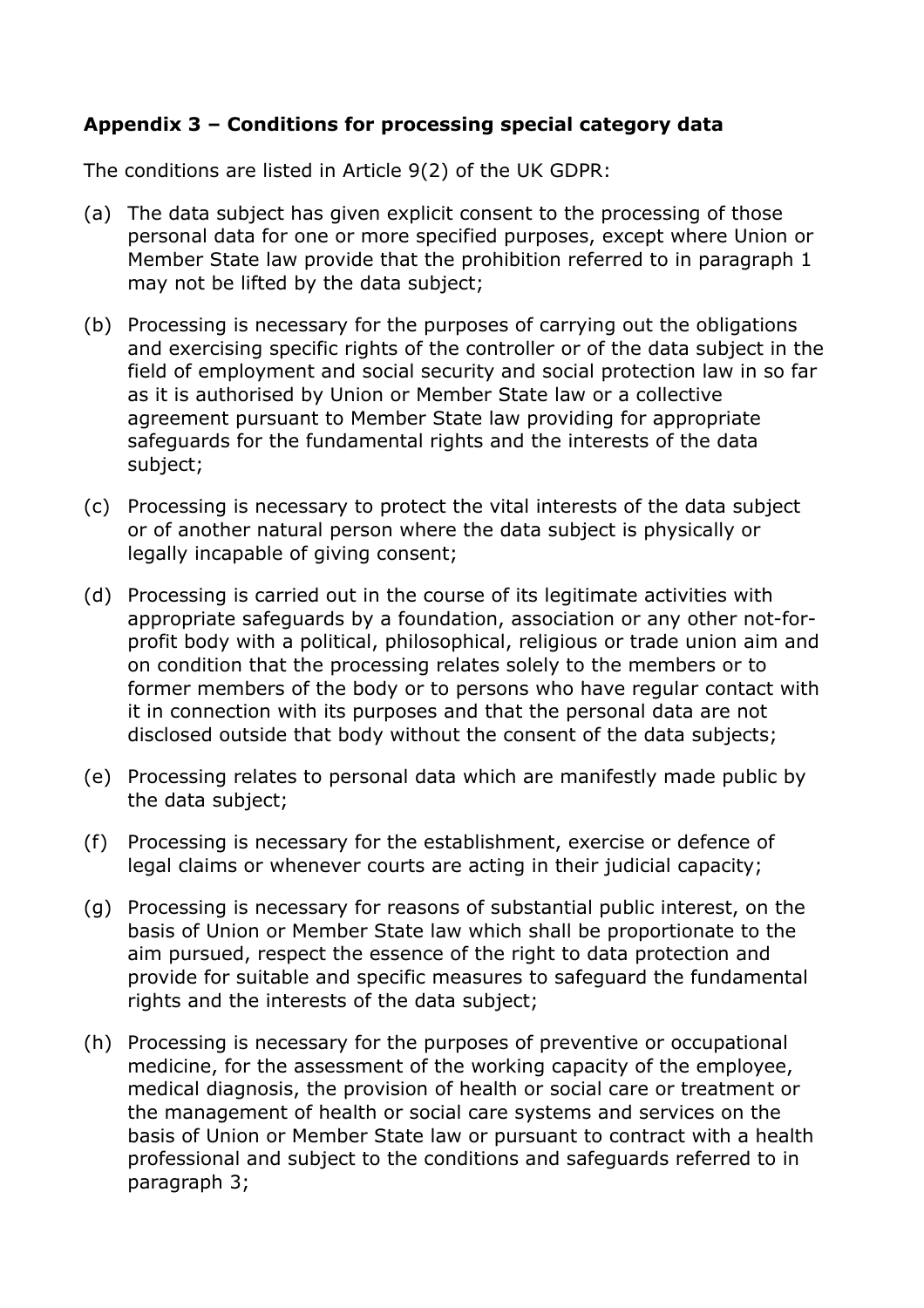#### **Appendix 3 – Conditions for processing special category data**

The conditions are listed in Article 9(2) of the UK GDPR:

- (a) The data subject has given explicit consent to the processing of those personal data for one or more specified purposes, except where Union or Member State law provide that the prohibition referred to in paragraph 1 may not be lifted by the data subject;
- (b) Processing is necessary for the purposes of carrying out the obligations and exercising specific rights of the controller or of the data subject in the field of employment and social security and social protection law in so far as it is authorised by Union or Member State law or a collective agreement pursuant to Member State law providing for appropriate safeguards for the fundamental rights and the interests of the data subject;
- (c) Processing is necessary to protect the vital interests of the data subject or of another natural person where the data subject is physically or legally incapable of giving consent;
- (d) Processing is carried out in the course of its legitimate activities with appropriate safeguards by a foundation, association or any other not-forprofit body with a political, philosophical, religious or trade union aim and on condition that the processing relates solely to the members or to former members of the body or to persons who have regular contact with it in connection with its purposes and that the personal data are not disclosed outside that body without the consent of the data subjects;
- (e) Processing relates to personal data which are manifestly made public by the data subject;
- (f) Processing is necessary for the establishment, exercise or defence of legal claims or whenever courts are acting in their judicial capacity;
- (g) Processing is necessary for reasons of substantial public interest, on the basis of Union or Member State law which shall be proportionate to the aim pursued, respect the essence of the right to data protection and provide for suitable and specific measures to safeguard the fundamental rights and the interests of the data subject;
- (h) Processing is necessary for the purposes of preventive or occupational medicine, for the assessment of the working capacity of the employee, medical diagnosis, the provision of health or social care or treatment or the management of health or social care systems and services on the basis of Union or Member State law or pursuant to contract with a health professional and subject to the conditions and safeguards referred to in paragraph 3;